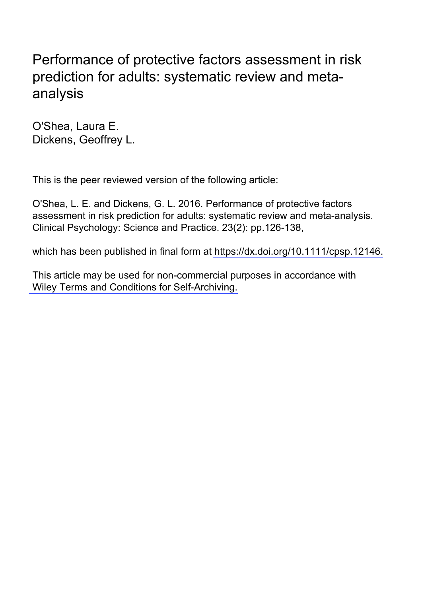# Performance of protective factors assessment in risk prediction for adults: systematic review and metaanalysis

O'Shea, Laura E. Dickens, Geoffrey L.

This is the peer reviewed version of the following article:

O'Shea, L. E. and Dickens, G. L. 2016. Performance of protective factors assessment in risk prediction for adults: systematic review and meta-analysis. Clinical Psychology: Science and Practice. 23(2): pp.126-138,

which has been published in final form at https://dx.doi.org/10.1111/cpsp.12146.

This article may be used for non-commercial purposes in accordance with [Wiley Terms and Conditions for Self-Archiving.](http://olabout.wiley.com/WileyCDA/Section/id-828039.html)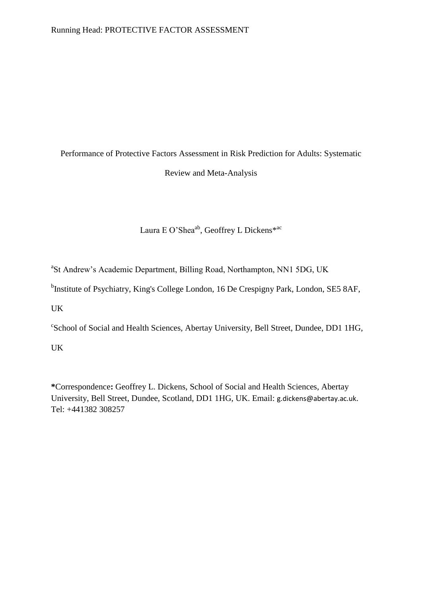# Performance of Protective Factors Assessment in Risk Prediction for Adults: Systematic Review and Meta-Analysis

Laura E O'Shea<sup>ab</sup>, Geoffrey L Dickens<sup>\*ac</sup>

<sup>a</sup>St Andrew's Academic Department, Billing Road, Northampton, NN1 5DG, UK

<sup>b</sup>Institute of Psychiatry, King's College London, 16 De Crespigny Park, London, SE5 8AF,

UK

c School of Social and Health Sciences, Abertay University, Bell Street, Dundee, DD1 1HG,

UK

**\***Correspondence**:** Geoffrey L. Dickens, School of Social and Health Sciences, Abertay University, Bell Street, Dundee, Scotland, DD1 1HG, UK. Email: g.dickens@abertay.ac.uk. Tel: +441382 308257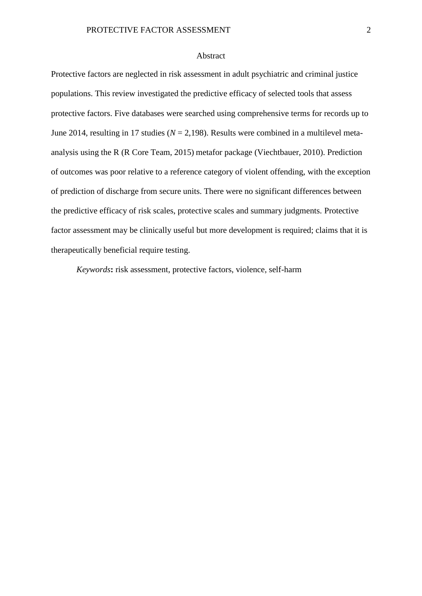#### Abstract

Protective factors are neglected in risk assessment in adult psychiatric and criminal justice populations. This review investigated the predictive efficacy of selected tools that assess protective factors. Five databases were searched using comprehensive terms for records up to June 2014, resulting in 17 studies (*N* = 2,198). Results were combined in a multilevel metaanalysis using the R (R Core Team, 2015) metafor package (Viechtbauer, 2010). Prediction of outcomes was poor relative to a reference category of violent offending, with the exception of prediction of discharge from secure units. There were no significant differences between the predictive efficacy of risk scales, protective scales and summary judgments. Protective factor assessment may be clinically useful but more development is required; claims that it is therapeutically beneficial require testing.

*Keywords***:** risk assessment, protective factors, violence, self-harm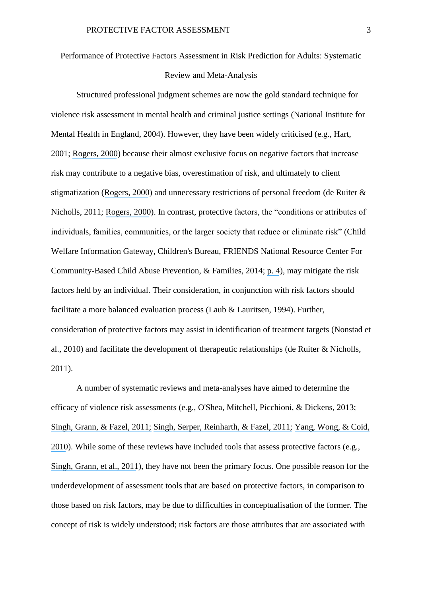#### Performance of Protective Factors Assessment in Risk Prediction for Adults: Systematic

#### Review and Meta-Analysis

Structured professional judgment schemes are now the gold standard technique for violence risk assessment in mental health and criminal justice settings (National Institute for Mental Health in England, 2004). However, they have been widely criticised (e.g., Hart, 2001; [Rogers, 2000](https://www.researchgate.net/publication/12298576_The_Uncritical_Acceptance_of_Risk_Assessment_in_Forensic_Practice?el=1_x_8&enrichId=rgreq-e3bf4a3a280c3cf01465ec7ad877da70-XXX&enrichSource=Y292ZXJQYWdlOzMwMzMwNjQ0MTtBUzozNjMwMTg2MjcxMDg4NjVAMTQ2MzU2MTc5MzU1Nw==)) because their almost exclusive focus on negative factors that increase risk may contribute to a negative bias, overestimation of risk, and ultimately to client stigmatization ([Rogers, 2000](https://www.researchgate.net/publication/12298576_The_Uncritical_Acceptance_of_Risk_Assessment_in_Forensic_Practice?el=1_x_8&enrichId=rgreq-e3bf4a3a280c3cf01465ec7ad877da70-XXX&enrichSource=Y292ZXJQYWdlOzMwMzMwNjQ0MTtBUzozNjMwMTg2MjcxMDg4NjVAMTQ2MzU2MTc5MzU1Nw==)) and unnecessary restrictions of personal freedom (de Ruiter & Nicholls, 2011; [Rogers, 2000](https://www.researchgate.net/publication/12298576_The_Uncritical_Acceptance_of_Risk_Assessment_in_Forensic_Practice?el=1_x_8&enrichId=rgreq-e3bf4a3a280c3cf01465ec7ad877da70-XXX&enrichSource=Y292ZXJQYWdlOzMwMzMwNjQ0MTtBUzozNjMwMTg2MjcxMDg4NjVAMTQ2MzU2MTc5MzU1Nw==)). In contrast, protective factors, the "conditions or attributes of individuals, families, communities, or the larger society that reduce or eliminate risk" (Child Welfare Information Gateway, Children's Bureau, FRIENDS National Resource Center For Community-Based Child Abuse Prevention, & Families, 2014; [p. 4](https://www.researchgate.net/publication/12514609_Why_Young_People_Do_Not_Kill_Themselves_The_Reasons_for_Living_Inventory_for_Adolescents?el=1_x_8&enrichId=rgreq-e3bf4a3a280c3cf01465ec7ad877da70-XXX&enrichSource=Y292ZXJQYWdlOzMwMzMwNjQ0MTtBUzozNjMwMTg2MjcxMDg4NjVAMTQ2MzU2MTc5MzU1Nw==)), may mitigate the risk factors held by an individual. Their consideration, in conjunction with risk factors should facilitate a more balanced evaluation process (Laub & Lauritsen, 1994). Further, consideration of protective factors may assist in identification of treatment targets (Nonstad et al., 2010) and facilitate the development of therapeutic relationships (de Ruiter & Nicholls, 2011).

A number of systematic reviews and meta-analyses have aimed to determine the efficacy of violence risk assessments (e.g., O'Shea, Mitchell, Picchioni, & Dickens, 2013; [Singh, Grann, & Fazel, 2011;](https://www.researchgate.net/publication/49775226_A_comparative_study_of_risk_assessment_tools_A_systematic_review_and_metaregression_analysis_of_68_studies_involving_25980_participants?el=1_x_8&enrichId=rgreq-e3bf4a3a280c3cf01465ec7ad877da70-XXX&enrichSource=Y292ZXJQYWdlOzMwMzMwNjQ0MTtBUzozNjMwMTg2MjcxMDg4NjVAMTQ2MzU2MTc5MzU1Nw==) [Singh, Serper, Reinharth, & Fazel, 2011;](https://www.researchgate.net/publication/51588785_Structured_Assessment_of_Violence_Risk_in_Schizophrenia_and_Other_Psychiatric_Disorders_A_Systematic_Review_of_the_Validity_Reliability_and_Item_Content_of_10_Available_Instruments?el=1_x_8&enrichId=rgreq-e3bf4a3a280c3cf01465ec7ad877da70-XXX&enrichSource=Y292ZXJQYWdlOzMwMzMwNjQ0MTtBUzozNjMwMTg2MjcxMDg4NjVAMTQ2MzU2MTc5MzU1Nw==) [Yang, Wong, & Coid,](https://www.researchgate.net/publication/46094266_The_Efficacy_of_Violence_Prediction_A_Meta-Analytic_Comparison_of_Nine_Risk_Assessment_Tools?el=1_x_8&enrichId=rgreq-e3bf4a3a280c3cf01465ec7ad877da70-XXX&enrichSource=Y292ZXJQYWdlOzMwMzMwNjQ0MTtBUzozNjMwMTg2MjcxMDg4NjVAMTQ2MzU2MTc5MzU1Nw==)  [2010](https://www.researchgate.net/publication/46094266_The_Efficacy_of_Violence_Prediction_A_Meta-Analytic_Comparison_of_Nine_Risk_Assessment_Tools?el=1_x_8&enrichId=rgreq-e3bf4a3a280c3cf01465ec7ad877da70-XXX&enrichSource=Y292ZXJQYWdlOzMwMzMwNjQ0MTtBUzozNjMwMTg2MjcxMDg4NjVAMTQ2MzU2MTc5MzU1Nw==)). While some of these reviews have included tools that assess protective factors (e.g., [Singh, Grann, et al., 2011](https://www.researchgate.net/publication/49775226_A_comparative_study_of_risk_assessment_tools_A_systematic_review_and_metaregression_analysis_of_68_studies_involving_25980_participants?el=1_x_8&enrichId=rgreq-e3bf4a3a280c3cf01465ec7ad877da70-XXX&enrichSource=Y292ZXJQYWdlOzMwMzMwNjQ0MTtBUzozNjMwMTg2MjcxMDg4NjVAMTQ2MzU2MTc5MzU1Nw==)), they have not been the primary focus. One possible reason for the underdevelopment of assessment tools that are based on protective factors, in comparison to those based on risk factors, may be due to difficulties in conceptualisation of the former. The concept of risk is widely understood; risk factors are those attributes that are associated with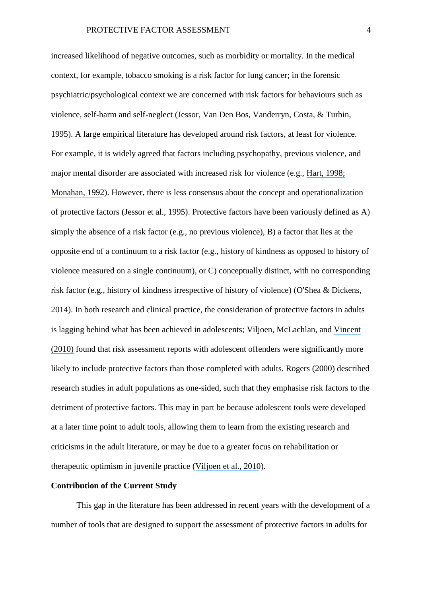increased likelihood of negative outcomes, such as morbidity or mortality. In the medical context, for example, tobacco smoking is a risk factor for lung cancer; in the forensic psychiatric/psychological context we are concerned with risk factors for behaviours such as violence, self-harm and self-neglect (Jessor, Van Den Bos, Vanderryn, Costa, & Turbin, 1995). A large empirical literature has developed around risk factors, at least for violence. For example, it is widely agreed that factors including psychopathy, previous violence, and major mental disorder are associated with increased risk for violence (e.g., [Hart, 1998;](https://www.researchgate.net/publication/288982579_Psychopathy_and_Risk_for_Violence?el=1_x_8&enrichId=rgreq-e3bf4a3a280c3cf01465ec7ad877da70-XXX&enrichSource=Y292ZXJQYWdlOzMwMzMwNjQ0MTtBUzozNjMwMTg2MjcxMDg4NjVAMTQ2MzU2MTc5MzU1Nw==) [Monahan, 1992](https://www.researchgate.net/publication/21559713_Mental_Disorder_and_Violent_Behavior_Perceptions_and_Evidence?el=1_x_8&enrichId=rgreq-e3bf4a3a280c3cf01465ec7ad877da70-XXX&enrichSource=Y292ZXJQYWdlOzMwMzMwNjQ0MTtBUzozNjMwMTg2MjcxMDg4NjVAMTQ2MzU2MTc5MzU1Nw==)). However, there is less consensus about the concept and operationalization of protective factors (Jessor et al., 1995). Protective factors have been variously defined as A) simply the absence of a risk factor (e.g., no previous violence), B) a factor that lies at the opposite end of a continuum to a risk factor (e.g., history of kindness as opposed to history of violence measured on a single continuum), or C) conceptually distinct, with no corresponding risk factor (e.g., history of kindness irrespective of history of violence) (O'Shea & Dickens, 2014). In both research and clinical practice, the consideration of protective factors in adults is lagging behind what has been achieved in adolescents; Viljoen, McLachlan, and [Vincent](https://www.researchgate.net/publication/41399516_Assessing_Violence_Risk_and_Psychopathy_in_Juvenile_and_Adult_Offenders_A_Survey_of_Clinical_Practices?el=1_x_8&enrichId=rgreq-e3bf4a3a280c3cf01465ec7ad877da70-XXX&enrichSource=Y292ZXJQYWdlOzMwMzMwNjQ0MTtBUzozNjMwMTg2MjcxMDg4NjVAMTQ2MzU2MTc5MzU1Nw==) [\(2010\)](https://www.researchgate.net/publication/41399516_Assessing_Violence_Risk_and_Psychopathy_in_Juvenile_and_Adult_Offenders_A_Survey_of_Clinical_Practices?el=1_x_8&enrichId=rgreq-e3bf4a3a280c3cf01465ec7ad877da70-XXX&enrichSource=Y292ZXJQYWdlOzMwMzMwNjQ0MTtBUzozNjMwMTg2MjcxMDg4NjVAMTQ2MzU2MTc5MzU1Nw==) found that risk assessment reports with adolescent offenders were significantly more likely to include protective factors than those completed with adults. Rogers (2000) described research studies in adult populations as one-sided, such that they emphasise risk factors to the detriment of protective factors. This may in part be because adolescent tools were developed at a later time point to adult tools, allowing them to learn from the existing research and criticisms in the adult literature, or may be due to a greater focus on rehabilitation or therapeutic optimism in juvenile practice ([Viljoen et al., 2010](https://www.researchgate.net/publication/41399516_Assessing_Violence_Risk_and_Psychopathy_in_Juvenile_and_Adult_Offenders_A_Survey_of_Clinical_Practices?el=1_x_8&enrichId=rgreq-e3bf4a3a280c3cf01465ec7ad877da70-XXX&enrichSource=Y292ZXJQYWdlOzMwMzMwNjQ0MTtBUzozNjMwMTg2MjcxMDg4NjVAMTQ2MzU2MTc5MzU1Nw==)).

### **Contribution of the Current Study**

This gap in the literature has been addressed in recent years with the development of a number of tools that are designed to support the assessment of protective factors in adults for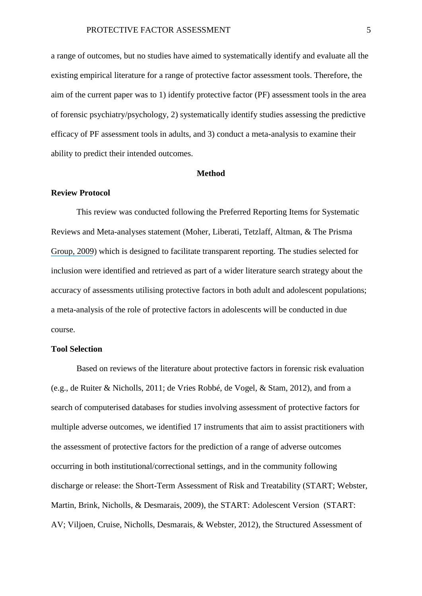a range of outcomes, but no studies have aimed to systematically identify and evaluate all the existing empirical literature for a range of protective factor assessment tools. Therefore, the aim of the current paper was to 1) identify protective factor (PF) assessment tools in the area of forensic psychiatry/psychology, 2) systematically identify studies assessing the predictive efficacy of PF assessment tools in adults, and 3) conduct a meta-analysis to examine their ability to predict their intended outcomes.

#### **Method**

#### **Review Protocol**

This review was conducted following the Preferred Reporting Items for Systematic Reviews and Meta-analyses statement (Moher, Liberati, Tetzlaff, Altman, & The Prisma [Group, 2009](https://www.researchgate.net/publication/26805686_Preferred_Reporting_Items_for_Systematic_Reviews_and_Meta-Analyses_the_PRISMA_Statement?el=1_x_8&enrichId=rgreq-e3bf4a3a280c3cf01465ec7ad877da70-XXX&enrichSource=Y292ZXJQYWdlOzMwMzMwNjQ0MTtBUzozNjMwMTg2MjcxMDg4NjVAMTQ2MzU2MTc5MzU1Nw==)) which is designed to facilitate transparent reporting. The studies selected for inclusion were identified and retrieved as part of a wider literature search strategy about the accuracy of assessments utilising protective factors in both adult and adolescent populations; a meta-analysis of the role of protective factors in adolescents will be conducted in due course.

#### **Tool Selection**

Based on reviews of the literature about protective factors in forensic risk evaluation (e.g., de Ruiter & Nicholls, 2011; de Vries Robbé, de Vogel, & Stam, 2012), and from a search of computerised databases for studies involving assessment of protective factors for multiple adverse outcomes, we identified 17 instruments that aim to assist practitioners with the assessment of protective factors for the prediction of a range of adverse outcomes occurring in both institutional/correctional settings, and in the community following discharge or release: the Short-Term Assessment of Risk and Treatability (START; Webster, Martin, Brink, Nicholls, & Desmarais, 2009), the START: Adolescent Version (START: AV; Viljoen, Cruise, Nicholls, Desmarais, & Webster, 2012), the Structured Assessment of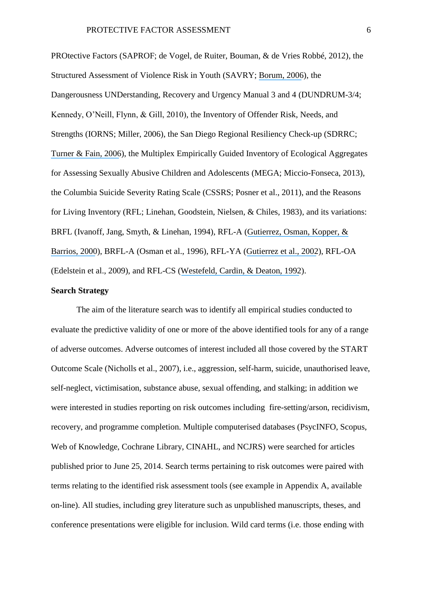PROtective Factors (SAPROF; de Vogel, de Ruiter, Bouman, & de Vries Robbé, 2012), the Structured Assessment of Violence Risk in Youth (SAVRY; [Borum, 2006](https://www.researchgate.net/publication/241835686_Manual_for_the_Structured_Assessment_of_Violence_Risk_in_Youth_SAVRY?el=1_x_8&enrichId=rgreq-e3bf4a3a280c3cf01465ec7ad877da70-XXX&enrichSource=Y292ZXJQYWdlOzMwMzMwNjQ0MTtBUzozNjMwMTg2MjcxMDg4NjVAMTQ2MzU2MTc5MzU1Nw==)), the Dangerousness UNDerstanding, Recovery and Urgency Manual 3 and 4 (DUNDRUM-3/4; Kennedy, O'Neill, Flynn, & Gill, 2010), the Inventory of Offender Risk, Needs, and Strengths (IORNS; Miller, 2006), the San Diego Regional Resiliency Check-up (SDRRC; [Turner & Fain, 2006](https://www.researchgate.net/publication/298291216_Validation_of_the_risk_and_resiliency_assessment_tool_for_juveniles_in_the_Los_Angeles_County_probation_system?el=1_x_8&enrichId=rgreq-e3bf4a3a280c3cf01465ec7ad877da70-XXX&enrichSource=Y292ZXJQYWdlOzMwMzMwNjQ0MTtBUzozNjMwMTg2MjcxMDg4NjVAMTQ2MzU2MTc5MzU1Nw==)), the Multiplex Empirically Guided Inventory of Ecological Aggregates for Assessing Sexually Abusive Children and Adolescents (MEGA; Miccio-Fonseca, 2013), the Columbia Suicide Severity Rating Scale (CSSRS; Posner et al., 2011), and the Reasons for Living Inventory (RFL; Linehan, Goodstein, Nielsen, & Chiles, 1983), and its variations: BRFL (Ivanoff, Jang, Smyth, & Linehan, 1994), RFL-A ([Gutierrez, Osman, Kopper, &](https://www.researchgate.net/publication/12514609_Why_Young_People_Do_Not_Kill_Themselves_The_Reasons_for_Living_Inventory_for_Adolescents?el=1_x_8&enrichId=rgreq-e3bf4a3a280c3cf01465ec7ad877da70-XXX&enrichSource=Y292ZXJQYWdlOzMwMzMwNjQ0MTtBUzozNjMwMTg2MjcxMDg4NjVAMTQ2MzU2MTc5MzU1Nw==)  [Barrios, 2000](https://www.researchgate.net/publication/12514609_Why_Young_People_Do_Not_Kill_Themselves_The_Reasons_for_Living_Inventory_for_Adolescents?el=1_x_8&enrichId=rgreq-e3bf4a3a280c3cf01465ec7ad877da70-XXX&enrichSource=Y292ZXJQYWdlOzMwMzMwNjQ0MTtBUzozNjMwMTg2MjcxMDg4NjVAMTQ2MzU2MTc5MzU1Nw==)), BRFL-A (Osman et al., 1996), RFL-YA ([Gutierrez et al., 2002](https://www.researchgate.net/publication/11443905_Development_of_the_Reasons_for_Living_Inventory_for_Young_Adults_RFL-YA?el=1_x_8&enrichId=rgreq-e3bf4a3a280c3cf01465ec7ad877da70-XXX&enrichSource=Y292ZXJQYWdlOzMwMzMwNjQ0MTtBUzozNjMwMTg2MjcxMDg4NjVAMTQ2MzU2MTc5MzU1Nw==)), RFL-OA (Edelstein et al., 2009), and RFL-CS ([Westefeld, Cardin, & Deaton, 1992](https://www.researchgate.net/publication/21666511_Development_of_the_College_Student_Reasons_for_Living_Inventory?el=1_x_8&enrichId=rgreq-e3bf4a3a280c3cf01465ec7ad877da70-XXX&enrichSource=Y292ZXJQYWdlOzMwMzMwNjQ0MTtBUzozNjMwMTg2MjcxMDg4NjVAMTQ2MzU2MTc5MzU1Nw==)).

#### **Search Strategy**

The aim of the literature search was to identify all empirical studies conducted to evaluate the predictive validity of one or more of the above identified tools for any of a range of adverse outcomes. Adverse outcomes of interest included all those covered by the START Outcome Scale (Nicholls et al., 2007), i.e., aggression, self-harm, suicide, unauthorised leave, self-neglect, victimisation, substance abuse, sexual offending, and stalking; in addition we were interested in studies reporting on risk outcomes including fire-setting/arson, recidivism, recovery, and programme completion. Multiple computerised databases (PsycINFO, Scopus, Web of Knowledge, Cochrane Library, CINAHL, and NCJRS) were searched for articles published prior to June 25, 2014. Search terms pertaining to risk outcomes were paired with terms relating to the identified risk assessment tools (see example in Appendix A, available on-line). All studies, including grey literature such as unpublished manuscripts, theses, and conference presentations were eligible for inclusion. Wild card terms (i.e. those ending with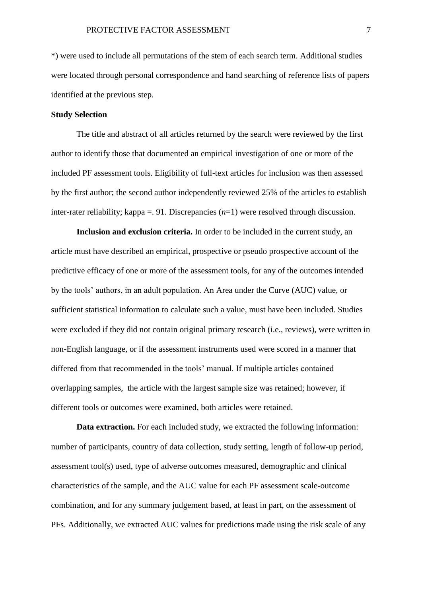\*) were used to include all permutations of the stem of each search term. Additional studies were located through personal correspondence and hand searching of reference lists of papers identified at the previous step.

### **Study Selection**

The title and abstract of all articles returned by the search were reviewed by the first author to identify those that documented an empirical investigation of one or more of the included PF assessment tools. Eligibility of full-text articles for inclusion was then assessed by the first author; the second author independently reviewed 25% of the articles to establish inter-rater reliability; kappa =. 91. Discrepancies (*n*=1) were resolved through discussion.

**Inclusion and exclusion criteria.** In order to be included in the current study, an article must have described an empirical, prospective or pseudo prospective account of the predictive efficacy of one or more of the assessment tools, for any of the outcomes intended by the tools' authors, in an adult population. An Area under the Curve (AUC) value, or sufficient statistical information to calculate such a value, must have been included. Studies were excluded if they did not contain original primary research (i.e., reviews), were written in non-English language, or if the assessment instruments used were scored in a manner that differed from that recommended in the tools' manual. If multiple articles contained overlapping samples, the article with the largest sample size was retained; however, if different tools or outcomes were examined, both articles were retained.

**Data extraction.** For each included study, we extracted the following information: number of participants, country of data collection, study setting, length of follow-up period, assessment tool(s) used, type of adverse outcomes measured, demographic and clinical characteristics of the sample, and the AUC value for each PF assessment scale-outcome combination, and for any summary judgement based, at least in part, on the assessment of PFs. Additionally, we extracted AUC values for predictions made using the risk scale of any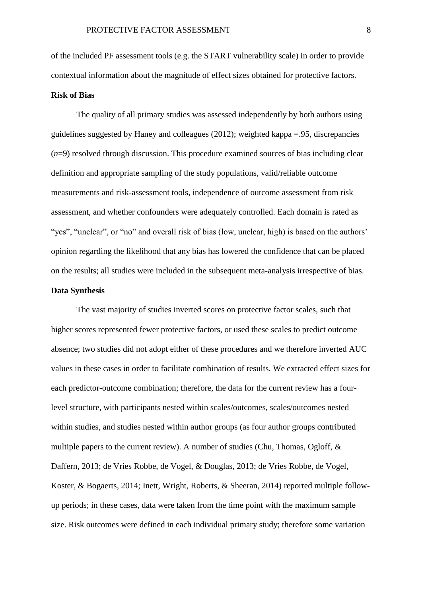of the included PF assessment tools (e.g. the START vulnerability scale) in order to provide contextual information about the magnitude of effect sizes obtained for protective factors.

#### **Risk of Bias**

The quality of all primary studies was assessed independently by both authors using guidelines suggested by Haney and colleagues (2012); weighted kappa =.95, discrepancies (*n*=9) resolved through discussion. This procedure examined sources of bias including clear definition and appropriate sampling of the study populations, valid/reliable outcome measurements and risk-assessment tools, independence of outcome assessment from risk assessment, and whether confounders were adequately controlled. Each domain is rated as "yes", "unclear", or "no" and overall risk of bias (low, unclear, high) is based on the authors' opinion regarding the likelihood that any bias has lowered the confidence that can be placed on the results; all studies were included in the subsequent meta-analysis irrespective of bias.

#### **Data Synthesis**

The vast majority of studies inverted scores on protective factor scales, such that higher scores represented fewer protective factors, or used these scales to predict outcome absence; two studies did not adopt either of these procedures and we therefore inverted AUC values in these cases in order to facilitate combination of results. We extracted effect sizes for each predictor-outcome combination; therefore, the data for the current review has a fourlevel structure, with participants nested within scales/outcomes, scales/outcomes nested within studies, and studies nested within author groups (as four author groups contributed multiple papers to the current review). A number of studies (Chu, Thomas, Ogloff, & Daffern, 2013; de Vries Robbe, de Vogel, & Douglas, 2013; de Vries Robbe, de Vogel, Koster, & Bogaerts, 2014; Inett, Wright, Roberts, & Sheeran, 2014) reported multiple followup periods; in these cases, data were taken from the time point with the maximum sample size. Risk outcomes were defined in each individual primary study; therefore some variation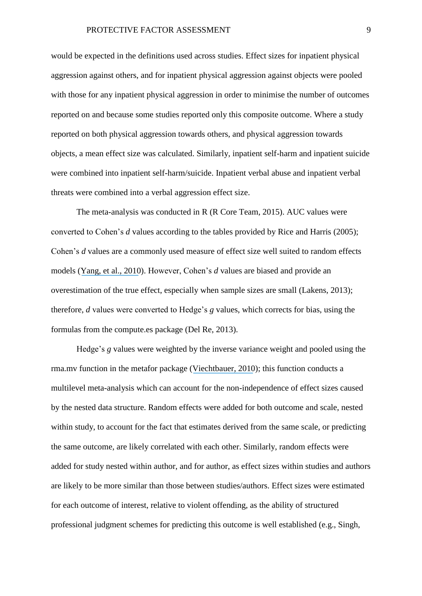would be expected in the definitions used across studies. Effect sizes for inpatient physical aggression against others, and for inpatient physical aggression against objects were pooled with those for any inpatient physical aggression in order to minimise the number of outcomes reported on and because some studies reported only this composite outcome. Where a study reported on both physical aggression towards others, and physical aggression towards objects, a mean effect size was calculated. Similarly, inpatient self-harm and inpatient suicide were combined into inpatient self-harm/suicide. Inpatient verbal abuse and inpatient verbal threats were combined into a verbal aggression effect size.

The meta-analysis was conducted in R (R Core Team, 2015). AUC values were converted to Cohen's *d* values according to the tables provided by Rice and Harris (2005); Cohen's *d* values are a commonly used measure of effect size well suited to random effects models ([Yang, et al.,](https://www.researchgate.net/publication/46094266_The_Efficacy_of_Violence_Prediction_A_Meta-Analytic_Comparison_of_Nine_Risk_Assessment_Tools?el=1_x_8&enrichId=rgreq-e3bf4a3a280c3cf01465ec7ad877da70-XXX&enrichSource=Y292ZXJQYWdlOzMwMzMwNjQ0MTtBUzozNjMwMTg2MjcxMDg4NjVAMTQ2MzU2MTc5MzU1Nw==) 2010). However, Cohen's *d* values are biased and provide an overestimation of the true effect, especially when sample sizes are small (Lakens, 2013); therefore, *d* values were converted to Hedge's *g* values, which corrects for bias, using the formulas from the compute.es package (Del Re, 2013).

Hedge's *g* values were weighted by the inverse variance weight and pooled using the rma.mv function in the metafor package ([Viechtbauer, 2010](https://www.researchgate.net/publication/47457479_Conducting_Meta-Analyses_in_R_with_the_metafor_Package?el=1_x_8&enrichId=rgreq-e3bf4a3a280c3cf01465ec7ad877da70-XXX&enrichSource=Y292ZXJQYWdlOzMwMzMwNjQ0MTtBUzozNjMwMTg2MjcxMDg4NjVAMTQ2MzU2MTc5MzU1Nw==)); this function conducts a multilevel meta-analysis which can account for the non-independence of effect sizes caused by the nested data structure. Random effects were added for both outcome and scale, nested within study, to account for the fact that estimates derived from the same scale, or predicting the same outcome, are likely correlated with each other. Similarly, random effects were added for study nested within author, and for author, as effect sizes within studies and authors are likely to be more similar than those between studies/authors. Effect sizes were estimated for each outcome of interest, relative to violent offending, as the ability of structured professional judgment schemes for predicting this outcome is well established (e.g., Singh,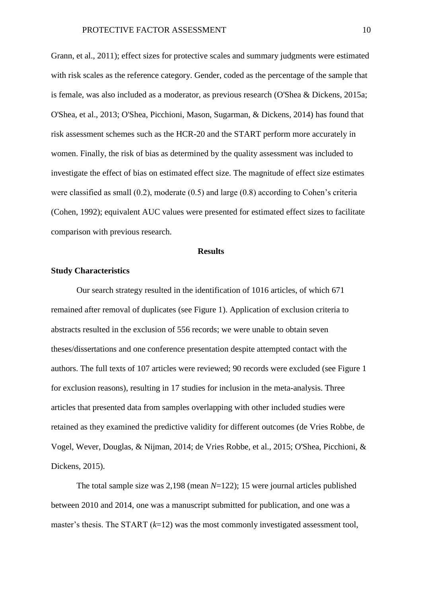Grann, et al., 2011); effect sizes for protective scales and summary judgments were estimated with risk scales as the reference category. Gender, coded as the percentage of the sample that is female, was also included as a moderator, as previous research (O'Shea & Dickens, 2015a; O'Shea, et al., 2013; O'Shea, Picchioni, Mason, Sugarman, & Dickens, 2014) has found that risk assessment schemes such as the HCR-20 and the START perform more accurately in women. Finally, the risk of bias as determined by the quality assessment was included to investigate the effect of bias on estimated effect size. The magnitude of effect size estimates were classified as small (0.2), moderate (0.5) and large (0.8) according to Cohen's criteria (Cohen, 1992); equivalent AUC values were presented for estimated effect sizes to facilitate comparison with previous research.

#### **Results**

#### **Study Characteristics**

Our search strategy resulted in the identification of 1016 articles, of which 671 remained after removal of duplicates (see Figure 1). Application of exclusion criteria to abstracts resulted in the exclusion of 556 records; we were unable to obtain seven theses/dissertations and one conference presentation despite attempted contact with the authors. The full texts of 107 articles were reviewed; 90 records were excluded (see Figure 1 for exclusion reasons), resulting in 17 studies for inclusion in the meta-analysis. Three articles that presented data from samples overlapping with other included studies were retained as they examined the predictive validity for different outcomes (de Vries Robbe, de Vogel, Wever, Douglas, & Nijman, 2014; de Vries Robbe, et al., 2015; O'Shea, Picchioni, & Dickens, 2015).

The total sample size was 2,198 (mean *N*=122); 15 were journal articles published between 2010 and 2014, one was a manuscript submitted for publication, and one was a master's thesis. The START (*k*=12) was the most commonly investigated assessment tool,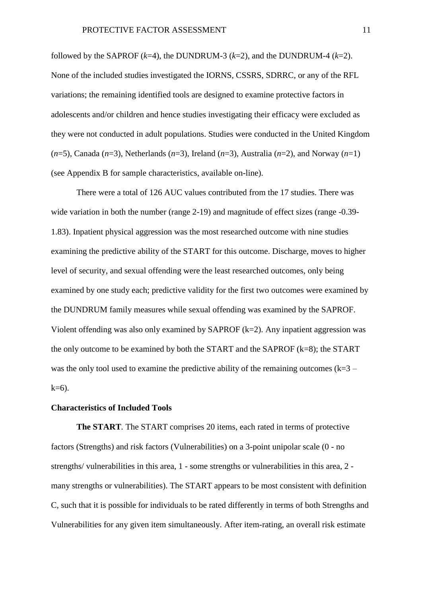followed by the SAPROF  $(k=4)$ , the DUNDRUM-3  $(k=2)$ , and the DUNDRUM-4  $(k=2)$ . None of the included studies investigated the IORNS, CSSRS, SDRRC, or any of the RFL variations; the remaining identified tools are designed to examine protective factors in adolescents and/or children and hence studies investigating their efficacy were excluded as they were not conducted in adult populations. Studies were conducted in the United Kingdom  $(n=5)$ , Canada  $(n=3)$ , Netherlands  $(n=3)$ , Ireland  $(n=3)$ , Australia  $(n=2)$ , and Norway  $(n=1)$ (see Appendix B for sample characteristics, available on-line).

There were a total of 126 AUC values contributed from the 17 studies. There was wide variation in both the number (range 2-19) and magnitude of effect sizes (range -0.39-1.83). Inpatient physical aggression was the most researched outcome with nine studies examining the predictive ability of the START for this outcome. Discharge, moves to higher level of security, and sexual offending were the least researched outcomes, only being examined by one study each; predictive validity for the first two outcomes were examined by the DUNDRUM family measures while sexual offending was examined by the SAPROF. Violent offending was also only examined by  $SAPROF (k=2)$ . Any inpatient aggression was the only outcome to be examined by both the START and the SAPROF (k=8); the START was the only tool used to examine the predictive ability of the remaining outcomes  $(k=3$  $k=6$ ).

#### **Characteristics of Included Tools**

**The START***.* The START comprises 20 items, each rated in terms of protective factors (Strengths) and risk factors (Vulnerabilities) on a 3-point unipolar scale (0 - no strengths/ vulnerabilities in this area, 1 - some strengths or vulnerabilities in this area, 2 many strengths or vulnerabilities). The START appears to be most consistent with definition C, such that it is possible for individuals to be rated differently in terms of both Strengths and Vulnerabilities for any given item simultaneously. After item-rating, an overall risk estimate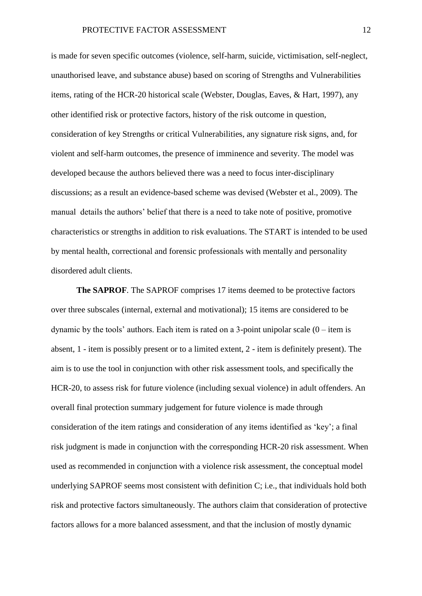is made for seven specific outcomes (violence, self-harm, suicide, victimisation, self-neglect, unauthorised leave, and substance abuse) based on scoring of Strengths and Vulnerabilities items, rating of the HCR-20 historical scale (Webster, Douglas, Eaves, & Hart, 1997), any other identified risk or protective factors, history of the risk outcome in question, consideration of key Strengths or critical Vulnerabilities, any signature risk signs, and, for violent and self-harm outcomes, the presence of imminence and severity. The model was developed because the authors believed there was a need to focus inter-disciplinary discussions; as a result an evidence-based scheme was devised (Webster et al., 2009). The manual details the authors' belief that there is a need to take note of positive, promotive characteristics or strengths in addition to risk evaluations. The START is intended to be used by mental health, correctional and forensic professionals with mentally and personality disordered adult clients.

**The SAPROF***.* The SAPROF comprises 17 items deemed to be protective factors over three subscales (internal, external and motivational); 15 items are considered to be dynamic by the tools' authors. Each item is rated on a 3-point unipolar scale  $(0 - item is$ absent, 1 - item is possibly present or to a limited extent, 2 - item is definitely present). The aim is to use the tool in conjunction with other risk assessment tools, and specifically the HCR-20, to assess risk for future violence (including sexual violence) in adult offenders. An overall final protection summary judgement for future violence is made through consideration of the item ratings and consideration of any items identified as 'key'; a final risk judgment is made in conjunction with the corresponding HCR-20 risk assessment. When used as recommended in conjunction with a violence risk assessment, the conceptual model underlying SAPROF seems most consistent with definition C; i.e., that individuals hold both risk and protective factors simultaneously. The authors claim that consideration of protective factors allows for a more balanced assessment, and that the inclusion of mostly dynamic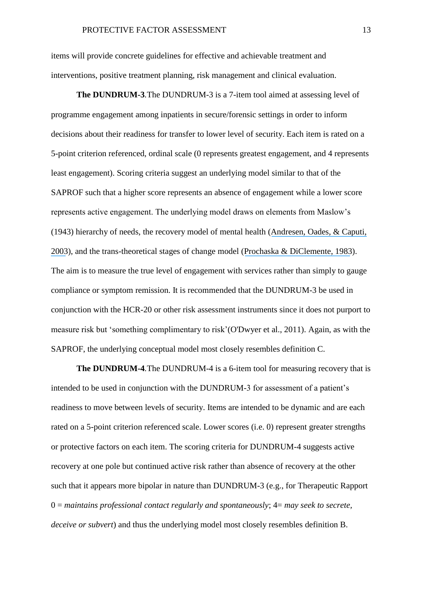items will provide concrete guidelines for effective and achievable treatment and interventions, positive treatment planning, risk management and clinical evaluation.

**The DUNDRUM-3***.*The DUNDRUM-3 is a 7-item tool aimed at assessing level of programme engagement among inpatients in secure/forensic settings in order to inform decisions about their readiness for transfer to lower level of security. Each item is rated on a 5-point criterion referenced, ordinal scale (0 represents greatest engagement, and 4 represents least engagement). Scoring criteria suggest an underlying model similar to that of the SAPROF such that a higher score represents an absence of engagement while a lower score represents active engagement. The underlying model draws on elements from Maslow's (1943) hierarchy of needs, the recovery model of mental health ([Andresen, Oades, & Caputi,](https://www.researchgate.net/publication/9079293_The_Experience_of_Recovery_from_Schizophrenia_Towards_an_Empirically_Validated_Stage_Model?el=1_x_8&enrichId=rgreq-e3bf4a3a280c3cf01465ec7ad877da70-XXX&enrichSource=Y292ZXJQYWdlOzMwMzMwNjQ0MTtBUzozNjMwMTg2MjcxMDg4NjVAMTQ2MzU2MTc5MzU1Nw==) [2003](https://www.researchgate.net/publication/9079293_The_Experience_of_Recovery_from_Schizophrenia_Towards_an_Empirically_Validated_Stage_Model?el=1_x_8&enrichId=rgreq-e3bf4a3a280c3cf01465ec7ad877da70-XXX&enrichSource=Y292ZXJQYWdlOzMwMzMwNjQ0MTtBUzozNjMwMTg2MjcxMDg4NjVAMTQ2MzU2MTc5MzU1Nw==)), and the trans-theoretical stages of change model ([Prochaska & DiClemente, 1983](https://www.researchgate.net/publication/16334721_Stages_and_Processes_of_Self-Change_of_Smoking_-_Toward_An_Integrative_Model_of_Change?el=1_x_8&enrichId=rgreq-e3bf4a3a280c3cf01465ec7ad877da70-XXX&enrichSource=Y292ZXJQYWdlOzMwMzMwNjQ0MTtBUzozNjMwMTg2MjcxMDg4NjVAMTQ2MzU2MTc5MzU1Nw==)). The aim is to measure the true level of engagement with services rather than simply to gauge compliance or symptom remission. It is recommended that the DUNDRUM-3 be used in conjunction with the HCR-20 or other risk assessment instruments since it does not purport to measure risk but 'something complimentary to risk'(O'Dwyer et al., 2011). Again, as with the SAPROF, the underlying conceptual model most closely resembles definition C.

**The DUNDRUM-4***.*The DUNDRUM-4 is a 6-item tool for measuring recovery that is intended to be used in conjunction with the DUNDRUM-3 for assessment of a patient's readiness to move between levels of security. Items are intended to be dynamic and are each rated on a 5-point criterion referenced scale. Lower scores (i.e. 0) represent greater strengths or protective factors on each item. The scoring criteria for DUNDRUM-4 suggests active recovery at one pole but continued active risk rather than absence of recovery at the other such that it appears more bipolar in nature than DUNDRUM-3 (e.g., for Therapeutic Rapport 0 = *maintains professional contact regularly and spontaneously*; 4= *may seek to secrete, deceive or subvert*) and thus the underlying model most closely resembles definition B.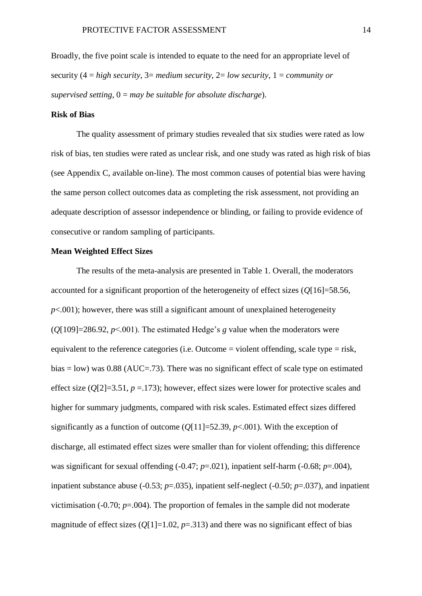Broadly, the five point scale is intended to equate to the need for an appropriate level of security (4 = *high security*, 3= *medium security*, 2= *low security*, 1 = *community or supervised setting*, 0 = *may be suitable for absolute discharge*).

#### **Risk of Bias**

The quality assessment of primary studies revealed that six studies were rated as low risk of bias, ten studies were rated as unclear risk, and one study was rated as high risk of bias (see Appendix C, available on-line). The most common causes of potential bias were having the same person collect outcomes data as completing the risk assessment, not providing an adequate description of assessor independence or blinding, or failing to provide evidence of consecutive or random sampling of participants.

#### **Mean Weighted Effect Sizes**

The results of the meta-analysis are presented in Table 1. Overall, the moderators accounted for a significant proportion of the heterogeneity of effect sizes (*Q*[16]=58.56,  $p<.001$ ); however, there was still a significant amount of unexplained heterogeneity  $(O[109]=286.92, p<001)$ . The estimated Hedge's *g* value when the moderators were equivalent to the reference categories (i.e. Outcome  $=$  violent offending, scale type  $=$  risk, bias  $=$  low) was 0.88 (AUC $=$ .73). There was no significant effect of scale type on estimated effect size  $(Q[2]=3.51, p=.173)$ ; however, effect sizes were lower for protective scales and higher for summary judgments, compared with risk scales. Estimated effect sizes differed significantly as a function of outcome  $(Q[11]=52.39, p<.001)$ . With the exception of discharge, all estimated effect sizes were smaller than for violent offending; this difference was significant for sexual offending (-0.47; *p*=.021), inpatient self-harm (-0.68; *p*=.004), inpatient substance abuse (-0.53; *p*=.035), inpatient self-neglect (-0.50; *p*=.037), and inpatient victimisation  $(-0.70; p=.004)$ . The proportion of females in the sample did not moderate magnitude of effect sizes  $(O[1]=1.02, p=.313)$  and there was no significant effect of bias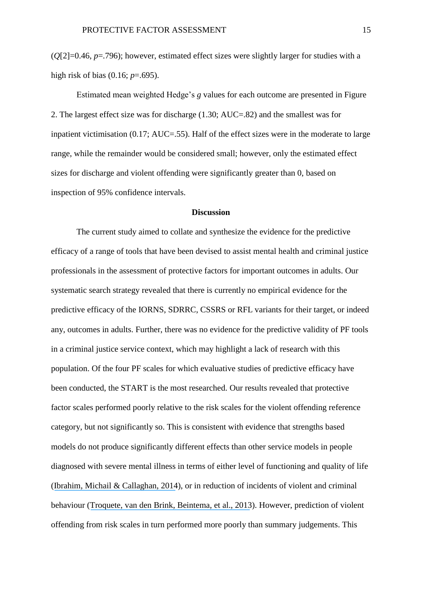(*Q*[2]=0.46, *p*=.796); however, estimated effect sizes were slightly larger for studies with a high risk of bias (0.16; *p*=.695).

Estimated mean weighted Hedge's *g* values for each outcome are presented in Figure 2. The largest effect size was for discharge (1.30; AUC=.82) and the smallest was for inpatient victimisation (0.17; AUC=.55). Half of the effect sizes were in the moderate to large range, while the remainder would be considered small; however, only the estimated effect sizes for discharge and violent offending were significantly greater than 0, based on inspection of 95% confidence intervals.

#### **Discussion**

The current study aimed to collate and synthesize the evidence for the predictive efficacy of a range of tools that have been devised to assist mental health and criminal justice professionals in the assessment of protective factors for important outcomes in adults. Our systematic search strategy revealed that there is currently no empirical evidence for the predictive efficacy of the IORNS, SDRRC, CSSRS or RFL variants for their target, or indeed any, outcomes in adults. Further, there was no evidence for the predictive validity of PF tools in a criminal justice service context, which may highlight a lack of research with this population. Of the four PF scales for which evaluative studies of predictive efficacy have been conducted, the START is the most researched. Our results revealed that protective factor scales performed poorly relative to the risk scales for the violent offending reference category, but not significantly so. This is consistent with evidence that strengths based models do not produce significantly different effects than other service models in people diagnosed with severe mental illness in terms of either level of functioning and quality of life ([Ibrahim, Michail & Callaghan, 2014](https://www.researchgate.net/publication/265394531_The_strengths_based_approach_as_a_service_delivery_model_for_severe_mental_illness_A_meta-analysis_of_clinical_trials?el=1_x_8&enrichId=rgreq-e3bf4a3a280c3cf01465ec7ad877da70-XXX&enrichSource=Y292ZXJQYWdlOzMwMzMwNjQ0MTtBUzozNjMwMTg2MjcxMDg4NjVAMTQ2MzU2MTc5MzU1Nw==)), or in reduction of incidents of violent and criminal behaviour ([Troquete, van den Brink, Beintema, et al., 2013](https://www.researchgate.net/publication/236072137_Risk_assessment_and_shared_care_planning_in_out-patient_forensic_psychiatry_Cluster_randomised_controlled_trial?el=1_x_8&enrichId=rgreq-e3bf4a3a280c3cf01465ec7ad877da70-XXX&enrichSource=Y292ZXJQYWdlOzMwMzMwNjQ0MTtBUzozNjMwMTg2MjcxMDg4NjVAMTQ2MzU2MTc5MzU1Nw==)). However, prediction of violent offending from risk scales in turn performed more poorly than summary judgements. This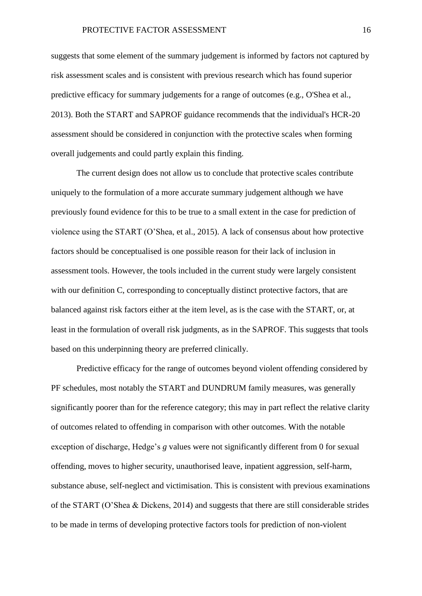suggests that some element of the summary judgement is informed by factors not captured by risk assessment scales and is consistent with previous research which has found superior predictive efficacy for summary judgements for a range of outcomes (e.g., O'Shea et al., 2013). Both the START and SAPROF guidance recommends that the individual's HCR-20 assessment should be considered in conjunction with the protective scales when forming overall judgements and could partly explain this finding.

The current design does not allow us to conclude that protective scales contribute uniquely to the formulation of a more accurate summary judgement although we have previously found evidence for this to be true to a small extent in the case for prediction of violence using the START (O'Shea, et al., 2015). A lack of consensus about how protective factors should be conceptualised is one possible reason for their lack of inclusion in assessment tools. However, the tools included in the current study were largely consistent with our definition C, corresponding to conceptually distinct protective factors, that are balanced against risk factors either at the item level, as is the case with the START, or, at least in the formulation of overall risk judgments, as in the SAPROF. This suggests that tools based on this underpinning theory are preferred clinically.

Predictive efficacy for the range of outcomes beyond violent offending considered by PF schedules, most notably the START and DUNDRUM family measures, was generally significantly poorer than for the reference category; this may in part reflect the relative clarity of outcomes related to offending in comparison with other outcomes. With the notable exception of discharge, Hedge's *g* values were not significantly different from 0 for sexual offending, moves to higher security, unauthorised leave, inpatient aggression, self-harm, substance abuse, self-neglect and victimisation. This is consistent with previous examinations of the START (O'Shea & Dickens, 2014) and suggests that there are still considerable strides to be made in terms of developing protective factors tools for prediction of non-violent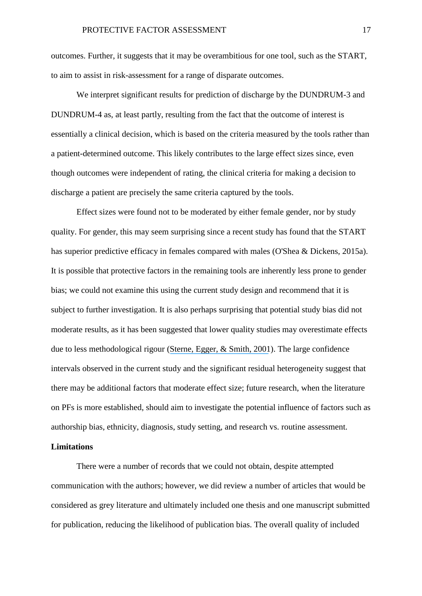outcomes. Further, it suggests that it may be overambitious for one tool, such as the START, to aim to assist in risk-assessment for a range of disparate outcomes.

We interpret significant results for prediction of discharge by the DUNDRUM-3 and DUNDRUM-4 as, at least partly, resulting from the fact that the outcome of interest is essentially a clinical decision, which is based on the criteria measured by the tools rather than a patient-determined outcome. This likely contributes to the large effect sizes since, even though outcomes were independent of rating, the clinical criteria for making a decision to discharge a patient are precisely the same criteria captured by the tools.

Effect sizes were found not to be moderated by either female gender, nor by study quality. For gender, this may seem surprising since a recent study has found that the START has superior predictive efficacy in females compared with males (O'Shea & Dickens, 2015a). It is possible that protective factors in the remaining tools are inherently less prone to gender bias; we could not examine this using the current study design and recommend that it is subject to further investigation. It is also perhaps surprising that potential study bias did not moderate results, as it has been suggested that lower quality studies may overestimate effects due to less methodological rigour ([Sterne, Egger, & Smith, 2001](https://www.researchgate.net/publication/237132111_Systematic_Reviews_in_Health_Care_Investigating_and_Dealing_with_Publication_and_Other_Biases_in_Meta-analysis?el=1_x_8&enrichId=rgreq-e3bf4a3a280c3cf01465ec7ad877da70-XXX&enrichSource=Y292ZXJQYWdlOzMwMzMwNjQ0MTtBUzozNjMwMTg2MjcxMDg4NjVAMTQ2MzU2MTc5MzU1Nw==)). The large confidence intervals observed in the current study and the significant residual heterogeneity suggest that there may be additional factors that moderate effect size; future research, when the literature on PFs is more established, should aim to investigate the potential influence of factors such as authorship bias, ethnicity, diagnosis, study setting, and research vs. routine assessment.

## **Limitations**

There were a number of records that we could not obtain, despite attempted communication with the authors; however, we did review a number of articles that would be considered as grey literature and ultimately included one thesis and one manuscript submitted for publication, reducing the likelihood of publication bias. The overall quality of included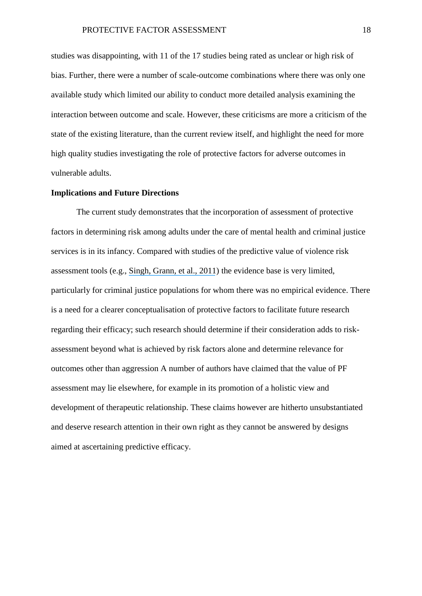studies was disappointing, with 11 of the 17 studies being rated as unclear or high risk of bias. Further, there were a number of scale-outcome combinations where there was only one available study which limited our ability to conduct more detailed analysis examining the interaction between outcome and scale. However, these criticisms are more a criticism of the state of the existing literature, than the current review itself, and highlight the need for more high quality studies investigating the role of protective factors for adverse outcomes in vulnerable adults.

#### **Implications and Future Directions**

The current study demonstrates that the incorporation of assessment of protective factors in determining risk among adults under the care of mental health and criminal justice services is in its infancy. Compared with studies of the predictive value of violence risk assessment tools (e.g., [Singh, Grann,](https://www.researchgate.net/publication/49775226_A_comparative_study_of_risk_assessment_tools_A_systematic_review_and_metaregression_analysis_of_68_studies_involving_25980_participants?el=1_x_8&enrichId=rgreq-e3bf4a3a280c3cf01465ec7ad877da70-XXX&enrichSource=Y292ZXJQYWdlOzMwMzMwNjQ0MTtBUzozNjMwMTg2MjcxMDg4NjVAMTQ2MzU2MTc5MzU1Nw==) et al., 2011) the evidence base is very limited, particularly for criminal justice populations for whom there was no empirical evidence. There is a need for a clearer conceptualisation of protective factors to facilitate future research regarding their efficacy; such research should determine if their consideration adds to riskassessment beyond what is achieved by risk factors alone and determine relevance for outcomes other than aggression A number of authors have claimed that the value of PF assessment may lie elsewhere, for example in its promotion of a holistic view and development of therapeutic relationship. These claims however are hitherto unsubstantiated and deserve research attention in their own right as they cannot be answered by designs aimed at ascertaining predictive efficacy.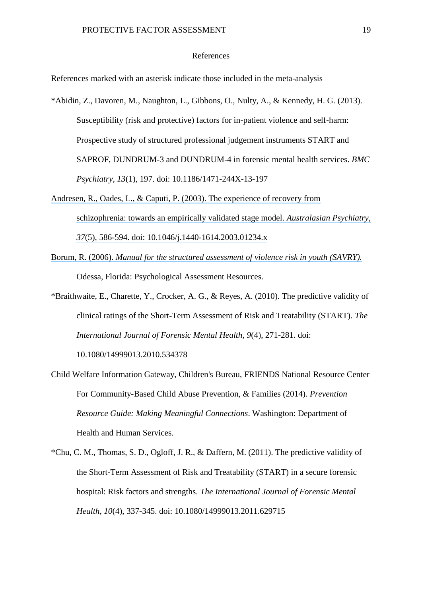#### References

References marked with an asterisk indicate those included in the meta-analysis

- \*Abidin, Z., Davoren, M., Naughton, L., Gibbons, O., Nulty, A., & Kennedy, H. G. (2013). Susceptibility (risk and protective) factors for in-patient violence and self-harm: Prospective study of structured professional judgement instruments START and SAPROF, DUNDRUM-3 and DUNDRUM-4 in forensic mental health services. *BMC Psychiatry, 13*(1), 197. doi: 10.1186/1471-244X-13-197
- Andresen, R., Oades, L., & [Caputi, P. \(2003\). The experience of recovery from](https://www.researchgate.net/publication/9079293_The_Experience_of_Recovery_from_Schizophrenia_Towards_an_Empirically_Validated_Stage_Model?el=1_x_8&enrichId=rgreq-e3bf4a3a280c3cf01465ec7ad877da70-XXX&enrichSource=Y292ZXJQYWdlOzMwMzMwNjQ0MTtBUzozNjMwMTg2MjcxMDg4NjVAMTQ2MzU2MTc5MzU1Nw==) [schizophrenia: towards an empirically validated stage model.](https://www.researchgate.net/publication/9079293_The_Experience_of_Recovery_from_Schizophrenia_Towards_an_Empirically_Validated_Stage_Model?el=1_x_8&enrichId=rgreq-e3bf4a3a280c3cf01465ec7ad877da70-XXX&enrichSource=Y292ZXJQYWdlOzMwMzMwNjQ0MTtBUzozNjMwMTg2MjcxMDg4NjVAMTQ2MzU2MTc5MzU1Nw==) *Australasian Psychiatry, 37*[\(5\), 586-594. doi: 10.1046/j.1440-1614.2003.01234.x](https://www.researchgate.net/publication/9079293_The_Experience_of_Recovery_from_Schizophrenia_Towards_an_Empirically_Validated_Stage_Model?el=1_x_8&enrichId=rgreq-e3bf4a3a280c3cf01465ec7ad877da70-XXX&enrichSource=Y292ZXJQYWdlOzMwMzMwNjQ0MTtBUzozNjMwMTg2MjcxMDg4NjVAMTQ2MzU2MTc5MzU1Nw==)
- Borum, R. (2006). *[Manual for the structured assessment of violence risk in youth \(SAVRY\).](https://www.researchgate.net/publication/241835686_Manual_for_the_Structured_Assessment_of_Violence_Risk_in_Youth_SAVRY?el=1_x_8&enrichId=rgreq-e3bf4a3a280c3cf01465ec7ad877da70-XXX&enrichSource=Y292ZXJQYWdlOzMwMzMwNjQ0MTtBUzozNjMwMTg2MjcxMDg4NjVAMTQ2MzU2MTc5MzU1Nw==)* Odessa, Florida: Psychological Assessment Resources.
- \*Braithwaite, E., Charette, Y., Crocker, A. G., & Reyes, A. (2010). The predictive validity of clinical ratings of the Short-Term Assessment of Risk and Treatability (START). *The International Journal of Forensic Mental Health, 9*(4), 271-281. doi:

10.1080/14999013.2010.534378

- Child Welfare Information Gateway, Children's Bureau, FRIENDS National Resource Center For Community-Based Child Abuse Prevention, & Families (2014). *Prevention Resource Guide: Making Meaningful Connections*. Washington: Department of Health and Human Services.
- \*Chu, C. M., Thomas, S. D., Ogloff, J. R., & Daffern, M. (2011). The predictive validity of the Short-Term Assessment of Risk and Treatability (START) in a secure forensic hospital: Risk factors and strengths. *The International Journal of Forensic Mental Health, 10*(4), 337-345. doi: 10.1080/14999013.2011.629715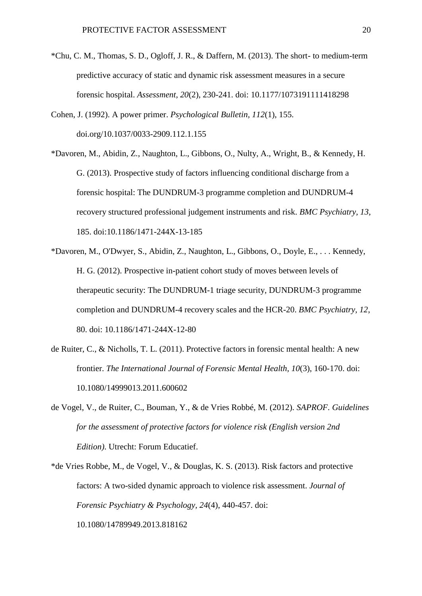- \*Chu, C. M., Thomas, S. D., Ogloff, J. R., & Daffern, M. (2013). The short- to medium-term predictive accuracy of static and dynamic risk assessment measures in a secure forensic hospital. *Assessment, 20*(2), 230-241. doi: 10.1177/1073191111418298
- Cohen, J. (1992). A power primer. *Psychological Bulletin, 112*(1), 155. doi.org/10.1037/0033-2909.112.1.155
- \*Davoren, M., Abidin, Z., Naughton, L., Gibbons, O., Nulty, A., Wright, B., & Kennedy, H. G. (2013). Prospective study of factors influencing conditional discharge from a forensic hospital: The DUNDRUM-3 programme completion and DUNDRUM-4 recovery structured professional judgement instruments and risk. *BMC Psychiatry, 13,*  185. doi:10.1186/1471-244X-13-185
- \*Davoren, M., O'Dwyer, S., Abidin, Z., Naughton, L., Gibbons, O., Doyle, E., . . . Kennedy, H. G. (2012). Prospective in-patient cohort study of moves between levels of therapeutic security: The DUNDRUM-1 triage security, DUNDRUM-3 programme completion and DUNDRUM-4 recovery scales and the HCR-20. *BMC Psychiatry, 12*, 80. doi: 10.1186/1471-244X-12-80
- de Ruiter, C., & Nicholls, T. L. (2011). Protective factors in forensic mental health: A new frontier. *The International Journal of Forensic Mental Health, 10*(3), 160-170. doi: 10.1080/14999013.2011.600602
- de Vogel, V., de Ruiter, C., Bouman, Y., & de Vries Robbé, M. (2012). *SAPROF. Guidelines for the assessment of protective factors for violence risk (English version 2nd Edition)*. Utrecht: Forum Educatief.
- \*de Vries Robbe, M., de Vogel, V., & Douglas, K. S. (2013). Risk factors and protective factors: A two-sided dynamic approach to violence risk assessment. *Journal of Forensic Psychiatry & Psychology, 24*(4), 440-457. doi: 10.1080/14789949.2013.818162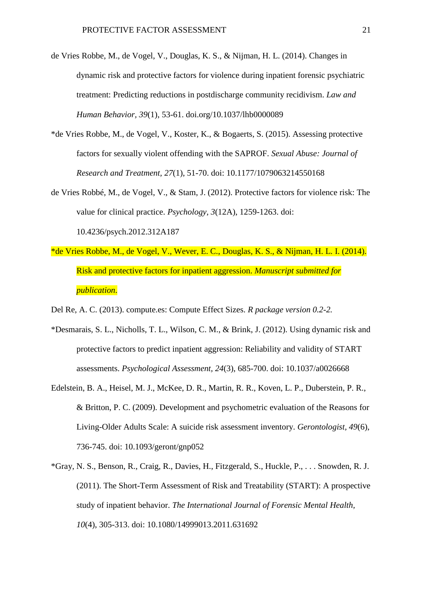- de Vries Robbe, M., de Vogel, V., Douglas, K. S., & Nijman, H. L. (2014). Changes in dynamic risk and protective factors for violence during inpatient forensic psychiatric treatment: Predicting reductions in postdischarge community recidivism. *Law and Human Behavior, 39*(1), 53-61. doi.org/10.1037/lhb0000089
- \*de Vries Robbe, M., de Vogel, V., Koster, K., & Bogaerts, S. (2015). Assessing protective factors for sexually violent offending with the SAPROF. *Sexual Abuse: Journal of Research and Treatment, 27*(1), 51-70. doi: 10.1177/1079063214550168
- de Vries Robbé, M., de Vogel, V., & Stam, J. (2012). Protective factors for violence risk: The value for clinical practice. *Psychology, 3*(12A), 1259-1263. doi: 10.4236/psych.2012.312A187
- \*de Vries Robbe, M., de Vogel, V., Wever, E. C., Douglas, K. S., & Nijman, H. L. I. (2014). Risk and protective factors for inpatient aggression. *Manuscript submitted for publication*.
- Del Re, A. C. (2013). compute.es: Compute Effect Sizes. *R package version 0.2-2.*
- \*Desmarais, S. L., Nicholls, T. L., Wilson, C. M., & Brink, J. (2012). Using dynamic risk and protective factors to predict inpatient aggression: Reliability and validity of START assessments. *Psychological Assessment, 24*(3), 685-700. doi: 10.1037/a0026668
- Edelstein, B. A., Heisel, M. J., McKee, D. R., Martin, R. R., Koven, L. P., Duberstein, P. R., & Britton, P. C. (2009). Development and psychometric evaluation of the Reasons for Living-Older Adults Scale: A suicide risk assessment inventory. *Gerontologist, 49*(6), 736-745. doi: 10.1093/geront/gnp052
- \*Gray, N. S., Benson, R., Craig, R., Davies, H., Fitzgerald, S., Huckle, P., . . . Snowden, R. J. (2011). The Short-Term Assessment of Risk and Treatability (START): A prospective study of inpatient behavior. *The International Journal of Forensic Mental Health, 10*(4), 305-313. doi: 10.1080/14999013.2011.631692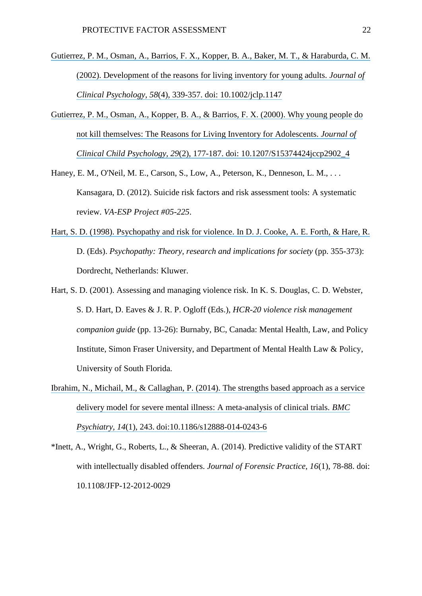- [Gutierrez, P. M., Osman, A., Barrios, F. X., Kopper, B. A., Baker, M. T., & Haraburda, C. M.](https://www.researchgate.net/publication/11443905_Development_of_the_Reasons_for_Living_Inventory_for_Young_Adults_RFL-YA?el=1_x_8&enrichId=rgreq-e3bf4a3a280c3cf01465ec7ad877da70-XXX&enrichSource=Y292ZXJQYWdlOzMwMzMwNjQ0MTtBUzozNjMwMTg2MjcxMDg4NjVAMTQ2MzU2MTc5MzU1Nw==)  [\(2002\). Development of the reasons for living inventory for young adults.](https://www.researchgate.net/publication/11443905_Development_of_the_Reasons_for_Living_Inventory_for_Young_Adults_RFL-YA?el=1_x_8&enrichId=rgreq-e3bf4a3a280c3cf01465ec7ad877da70-XXX&enrichSource=Y292ZXJQYWdlOzMwMzMwNjQ0MTtBUzozNjMwMTg2MjcxMDg4NjVAMTQ2MzU2MTc5MzU1Nw==) *Journal of Clinical Psychology, 58*[\(4\), 339-357. doi: 10.1002/jclp.1147](https://www.researchgate.net/publication/11443905_Development_of_the_Reasons_for_Living_Inventory_for_Young_Adults_RFL-YA?el=1_x_8&enrichId=rgreq-e3bf4a3a280c3cf01465ec7ad877da70-XXX&enrichSource=Y292ZXJQYWdlOzMwMzMwNjQ0MTtBUzozNjMwMTg2MjcxMDg4NjVAMTQ2MzU2MTc5MzU1Nw==)
- [Gutierrez, P. M., Osman, A., Kopper, B. A., & Barrios, F. X. \(2000\). Why young people do](https://www.researchgate.net/publication/12514609_Why_Young_People_Do_Not_Kill_Themselves_The_Reasons_for_Living_Inventory_for_Adolescents?el=1_x_8&enrichId=rgreq-e3bf4a3a280c3cf01465ec7ad877da70-XXX&enrichSource=Y292ZXJQYWdlOzMwMzMwNjQ0MTtBUzozNjMwMTg2MjcxMDg4NjVAMTQ2MzU2MTc5MzU1Nw==) [not kill themselves: The Reasons for Living Inventory for Adolescents.](https://www.researchgate.net/publication/12514609_Why_Young_People_Do_Not_Kill_Themselves_The_Reasons_for_Living_Inventory_for_Adolescents?el=1_x_8&enrichId=rgreq-e3bf4a3a280c3cf01465ec7ad877da70-XXX&enrichSource=Y292ZXJQYWdlOzMwMzMwNjQ0MTtBUzozNjMwMTg2MjcxMDg4NjVAMTQ2MzU2MTc5MzU1Nw==) *Journal of Clinical Child Psychology, 29*[\(2\), 177-187. doi: 10.1207/S15374424jccp2902\\_4](https://www.researchgate.net/publication/12514609_Why_Young_People_Do_Not_Kill_Themselves_The_Reasons_for_Living_Inventory_for_Adolescents?el=1_x_8&enrichId=rgreq-e3bf4a3a280c3cf01465ec7ad877da70-XXX&enrichSource=Y292ZXJQYWdlOzMwMzMwNjQ0MTtBUzozNjMwMTg2MjcxMDg4NjVAMTQ2MzU2MTc5MzU1Nw==)
- Haney, E. M., O'Neil, M. E., Carson, S., Low, A., Peterson, K., Denneson, L. M., . . . Kansagara, D. (2012). Suicide risk factors and risk assessment tools: A systematic review. *VA-ESP Project #05-225*.
- [Hart, S. D. \(1998\). Psychopathy and risk for violence. In D. J. Cooke, A. E. Forth, & Hare, R.](https://www.researchgate.net/publication/288982579_Psychopathy_and_Risk_for_Violence?el=1_x_8&enrichId=rgreq-e3bf4a3a280c3cf01465ec7ad877da70-XXX&enrichSource=Y292ZXJQYWdlOzMwMzMwNjQ0MTtBUzozNjMwMTg2MjcxMDg4NjVAMTQ2MzU2MTc5MzU1Nw==) D. (Eds). *Psychopathy: Theory, research and implications for society* (pp. 355-373): Dordrecht, Netherlands: Kluwer.
- Hart, S. D. (2001). Assessing and managing violence risk. In K. S. Douglas, C. D. Webster, S. D. Hart, D. Eaves & J. R. P. Ogloff (Eds.), *HCR-20 violence risk management companion guide* (pp. 13-26): Burnaby, BC, Canada: Mental Health, Law, and Policy Institute, Simon Fraser University, and Department of Mental Health Law & Policy, University of South Florida.
- [Ibrahim, N., Michail, M., & Callaghan, P. \(2014\). The strengths based approach as a service](https://www.researchgate.net/publication/265394531_The_strengths_based_approach_as_a_service_delivery_model_for_severe_mental_illness_A_meta-analysis_of_clinical_trials?el=1_x_8&enrichId=rgreq-e3bf4a3a280c3cf01465ec7ad877da70-XXX&enrichSource=Y292ZXJQYWdlOzMwMzMwNjQ0MTtBUzozNjMwMTg2MjcxMDg4NjVAMTQ2MzU2MTc5MzU1Nw==)  [delivery model for severe mental illness: A](https://www.researchgate.net/publication/265394531_The_strengths_based_approach_as_a_service_delivery_model_for_severe_mental_illness_A_meta-analysis_of_clinical_trials?el=1_x_8&enrichId=rgreq-e3bf4a3a280c3cf01465ec7ad877da70-XXX&enrichSource=Y292ZXJQYWdlOzMwMzMwNjQ0MTtBUzozNjMwMTg2MjcxMDg4NjVAMTQ2MzU2MTc5MzU1Nw==) meta-analysis of clinical trials. *BMC Psychiatry, 14*(1), 243. [doi:10.1186/s12888-014-0243-6](https://www.researchgate.net/publication/265394531_The_strengths_based_approach_as_a_service_delivery_model_for_severe_mental_illness_A_meta-analysis_of_clinical_trials?el=1_x_8&enrichId=rgreq-e3bf4a3a280c3cf01465ec7ad877da70-XXX&enrichSource=Y292ZXJQYWdlOzMwMzMwNjQ0MTtBUzozNjMwMTg2MjcxMDg4NjVAMTQ2MzU2MTc5MzU1Nw==)
- \*Inett, A., Wright, G., Roberts, L., & Sheeran, A. (2014). Predictive validity of the START with intellectually disabled offenders. *Journal of Forensic Practice, 16*(1), 78-88. doi: 10.1108/JFP-12-2012-0029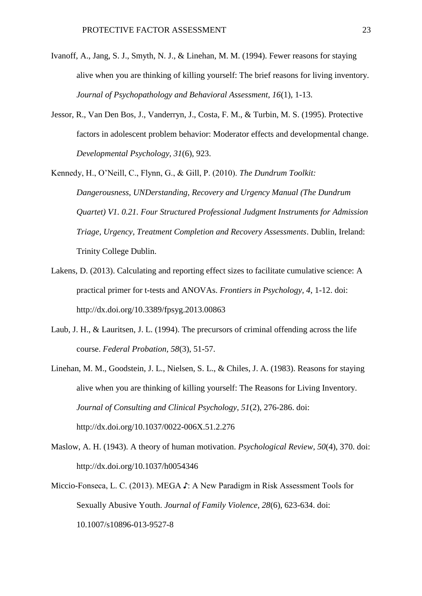- Ivanoff, A., Jang, S. J., Smyth, N. J., & Linehan, M. M. (1994). Fewer reasons for staying alive when you are thinking of killing yourself: The brief reasons for living inventory. *Journal of Psychopathology and Behavioral Assessment, 16*(1), 1-13.
- Jessor, R., Van Den Bos, J., Vanderryn, J., Costa, F. M., & Turbin, M. S. (1995). Protective factors in adolescent problem behavior: Moderator effects and developmental change. *Developmental Psychology, 31*(6), 923.
- Kennedy, H., O'Neill, C., Flynn, G., & Gill, P. (2010). *The Dundrum Toolkit: Dangerousness, UNDerstanding, Recovery and Urgency Manual (The Dundrum Quartet) V1. 0.21. Four Structured Professional Judgment Instruments for Admission Triage, Urgency, Treatment Completion and Recovery Assessments*. Dublin, Ireland: Trinity College Dublin.
- Lakens, D. (2013). Calculating and reporting effect sizes to facilitate cumulative science: A practical primer for t-tests and ANOVAs. *Frontiers in Psychology, 4*, 1-12. doi: http://dx.doi.org/10.3389/fpsyg.2013.00863
- Laub, J. H., & Lauritsen, J. L. (1994). The precursors of criminal offending across the life course. *Federal Probation, 58*(3), 51-57.
- Linehan, M. M., Goodstein, J. L., Nielsen, S. L., & Chiles, J. A. (1983). Reasons for staying alive when you are thinking of killing yourself: The Reasons for Living Inventory. *Journal of Consulting and Clinical Psychology, 51*(2), 276-286. doi: http://dx.doi.org/10.1037/0022-006X.51.2.276
- Maslow, A. H. (1943). A theory of human motivation. *Psychological Review, 50*(4), 370. doi: http://dx.doi.org/10.1037/h0054346
- Miccio-Fonseca, L. C. (2013). MEGA ♪: A New Paradigm in Risk Assessment Tools for Sexually Abusive Youth. *Journal of Family Violence, 28*(6), 623-634. doi: 10.1007/s10896-013-9527-8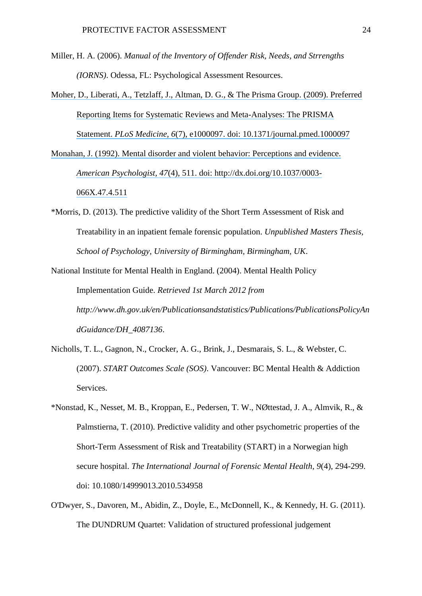- Miller, H. A. (2006). *Manual of the Inventory of Offender Risk, Needs, and Strrengths (IORNS)*. Odessa, FL: Psychological Assessment Resources.
- [Moher, D., Liberati, A., Tetzlaff, J., Altman, D. G., & The Prisma Group. \(2009\). Preferred](https://www.researchgate.net/publication/26805686_Preferred_Reporting_Items_for_Systematic_Reviews_and_Meta-Analyses_the_PRISMA_Statement?el=1_x_8&enrichId=rgreq-e3bf4a3a280c3cf01465ec7ad877da70-XXX&enrichSource=Y292ZXJQYWdlOzMwMzMwNjQ0MTtBUzozNjMwMTg2MjcxMDg4NjVAMTQ2MzU2MTc5MzU1Nw==)  [Reporting Items for Systematic Reviews and Meta-Analyses: The PRISMA](https://www.researchgate.net/publication/26805686_Preferred_Reporting_Items_for_Systematic_Reviews_and_Meta-Analyses_the_PRISMA_Statement?el=1_x_8&enrichId=rgreq-e3bf4a3a280c3cf01465ec7ad877da70-XXX&enrichSource=Y292ZXJQYWdlOzMwMzMwNjQ0MTtBUzozNjMwMTg2MjcxMDg4NjVAMTQ2MzU2MTc5MzU1Nw==) Statement. *PLoS Medicine, 6*[\(7\), e1000097. doi: 10.1371/journal.pmed.1000097](https://www.researchgate.net/publication/26805686_Preferred_Reporting_Items_for_Systematic_Reviews_and_Meta-Analyses_the_PRISMA_Statement?el=1_x_8&enrichId=rgreq-e3bf4a3a280c3cf01465ec7ad877da70-XXX&enrichSource=Y292ZXJQYWdlOzMwMzMwNjQ0MTtBUzozNjMwMTg2MjcxMDg4NjVAMTQ2MzU2MTc5MzU1Nw==)

[Monahan, J. \(1992\). Mental disorder and violent behavior: Perceptions and evidence.](https://www.researchgate.net/publication/21559713_Mental_Disorder_and_Violent_Behavior_Perceptions_and_Evidence?el=1_x_8&enrichId=rgreq-e3bf4a3a280c3cf01465ec7ad877da70-XXX&enrichSource=Y292ZXJQYWdlOzMwMzMwNjQ0MTtBUzozNjMwMTg2MjcxMDg4NjVAMTQ2MzU2MTc5MzU1Nw==) *American Psychologist, 47*[\(4\), 511. doi: http://dx.doi.org/10.1037/0003-](https://www.researchgate.net/publication/21559713_Mental_Disorder_and_Violent_Behavior_Perceptions_and_Evidence?el=1_x_8&enrichId=rgreq-e3bf4a3a280c3cf01465ec7ad877da70-XXX&enrichSource=Y292ZXJQYWdlOzMwMzMwNjQ0MTtBUzozNjMwMTg2MjcxMDg4NjVAMTQ2MzU2MTc5MzU1Nw==) [066X.47.4.511](https://www.researchgate.net/publication/21559713_Mental_Disorder_and_Violent_Behavior_Perceptions_and_Evidence?el=1_x_8&enrichId=rgreq-e3bf4a3a280c3cf01465ec7ad877da70-XXX&enrichSource=Y292ZXJQYWdlOzMwMzMwNjQ0MTtBUzozNjMwMTg2MjcxMDg4NjVAMTQ2MzU2MTc5MzU1Nw==)

- \*Morris, D. (2013). The predictive validity of the Short Term Assessment of Risk and Treatability in an inpatient female forensic population. *Unpublished Masters Thesis, School of Psychology, University of Birmingham, Birmingham, UK*.
- National Institute for Mental Health in England. (2004). Mental Health Policy Implementation Guide. *Retrieved 1st March 2012 from http://www.dh.gov.uk/en/Publicationsandstatistics/Publications/PublicationsPolicyAn dGuidance/DH\_4087136*.
- Nicholls, T. L., Gagnon, N., Crocker, A. G., Brink, J., Desmarais, S. L., & Webster, C. (2007). *START Outcomes Scale (SOS)*. Vancouver: BC Mental Health & Addiction Services.
- \*Nonstad, K., Nesset, M. B., Kroppan, E., Pedersen, T. W., NØttestad, J. A., Almvik, R., & Palmstierna, T. (2010). Predictive validity and other psychometric properties of the Short-Term Assessment of Risk and Treatability (START) in a Norwegian high secure hospital. *The International Journal of Forensic Mental Health, 9*(4), 294-299. doi: 10.1080/14999013.2010.534958
- O'Dwyer, S., Davoren, M., Abidin, Z., Doyle, E., McDonnell, K., & Kennedy, H. G. (2011). The DUNDRUM Quartet: Validation of structured professional judgement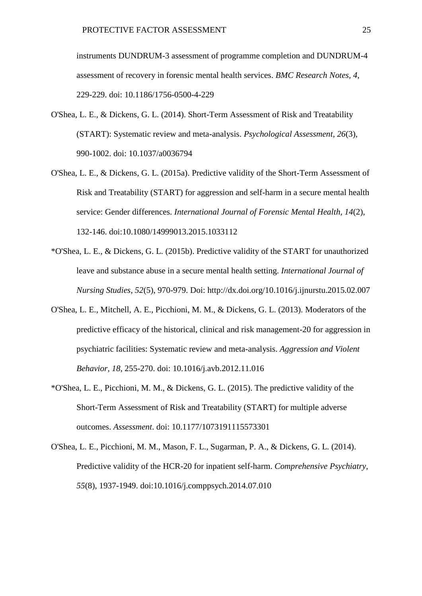instruments DUNDRUM-3 assessment of programme completion and DUNDRUM-4 assessment of recovery in forensic mental health services. *BMC Research Notes, 4*, 229-229. doi: 10.1186/1756-0500-4-229

- O'Shea, L. E., & Dickens, G. L. (2014). Short-Term Assessment of Risk and Treatability (START): Systematic review and meta-analysis. *Psychological Assessment, 26*(3), 990-1002. doi: 10.1037/a0036794
- O'Shea, L. E., & Dickens, G. L. (2015a). Predictive validity of the Short-Term Assessment of Risk and Treatability (START) for aggression and self-harm in a secure mental health service: Gender differences. *International Journal of Forensic Mental Health, 14*(2), 132-146. doi:10.1080/14999013.2015.1033112
- \*O'Shea, L. E., & Dickens, G. L. (2015b). Predictive validity of the START for unauthorized leave and substance abuse in a secure mental health setting. *International Journal of Nursing Studies, 52*(5), 970-979. Doi: http://dx.doi.org/10.1016/j.ijnurstu.2015.02.007
- O'Shea, L. E., Mitchell, A. E., Picchioni, M. M., & Dickens, G. L. (2013). Moderators of the predictive efficacy of the historical, clinical and risk management-20 for aggression in psychiatric facilities: Systematic review and meta-analysis. *Aggression and Violent Behavior, 18*, 255-270. doi: 10.1016/j.avb.2012.11.016
- \*O'Shea, L. E., Picchioni, M. M., & Dickens, G. L. (2015). The predictive validity of the Short-Term Assessment of Risk and Treatability (START) for multiple adverse outcomes. *Assessment*. doi: 10.1177/1073191115573301
- O'Shea, L. E., Picchioni, M. M., Mason, F. L., Sugarman, P. A., & Dickens, G. L. (2014). Predictive validity of the HCR-20 for inpatient self-harm. *Comprehensive Psychiatry, 55*(8), 1937-1949. doi:10.1016/j.comppsych.2014.07.010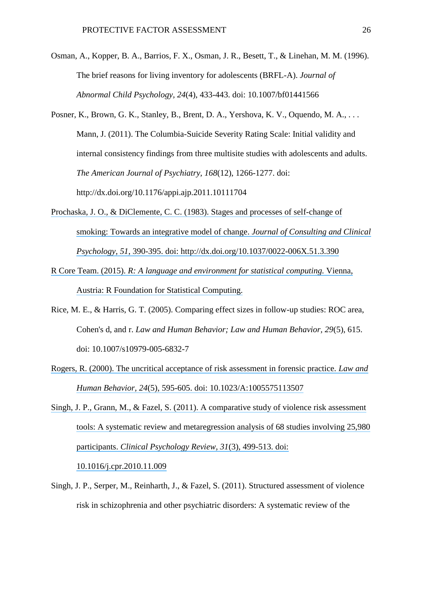- Osman, A., Kopper, B. A., Barrios, F. X., Osman, J. R., Besett, T., & Linehan, M. M. (1996). The brief reasons for living inventory for adolescents (BRFL-A). *Journal of Abnormal Child Psychology, 24*(4), 433-443. doi: 10.1007/bf01441566
- Posner, K., Brown, G. K., Stanley, B., Brent, D. A., Yershova, K. V., Oquendo, M. A., ... Mann, J. (2011). The Columbia-Suicide Severity Rating Scale: Initial validity and internal consistency findings from three multisite studies with adolescents and adults. *The American Journal of Psychiatry, 168*(12), 1266-1277. doi: http://dx.doi.org/10.1176/appi.ajp.2011.10111704
- [Prochaska, J. O., & DiClemente, C. C. \(1983\). Stages and processes of self-change of](https://www.researchgate.net/publication/16334721_Stages_and_Processes_of_Self-Change_of_Smoking_-_Toward_An_Integrative_Model_of_Change?el=1_x_8&enrichId=rgreq-e3bf4a3a280c3cf01465ec7ad877da70-XXX&enrichSource=Y292ZXJQYWdlOzMwMzMwNjQ0MTtBUzozNjMwMTg2MjcxMDg4NjVAMTQ2MzU2MTc5MzU1Nw==)  [smoking: Towards an integrative model of change.](https://www.researchgate.net/publication/16334721_Stages_and_Processes_of_Self-Change_of_Smoking_-_Toward_An_Integrative_Model_of_Change?el=1_x_8&enrichId=rgreq-e3bf4a3a280c3cf01465ec7ad877da70-XXX&enrichSource=Y292ZXJQYWdlOzMwMzMwNjQ0MTtBUzozNjMwMTg2MjcxMDg4NjVAMTQ2MzU2MTc5MzU1Nw==) *Journal of Consulting and Clinical Psychology, 51*[, 390-395. doi: http://dx.doi.org/10.1037/0022-006X.51.3.390](https://www.researchgate.net/publication/16334721_Stages_and_Processes_of_Self-Change_of_Smoking_-_Toward_An_Integrative_Model_of_Change?el=1_x_8&enrichId=rgreq-e3bf4a3a280c3cf01465ec7ad877da70-XXX&enrichSource=Y292ZXJQYWdlOzMwMzMwNjQ0MTtBUzozNjMwMTg2MjcxMDg4NjVAMTQ2MzU2MTc5MzU1Nw==)
- R Core Team. (2015). *[R: A language and environment for statistical](https://www.researchgate.net/publication/221943681_R_Core_Team_R_A_Language_and_Environment_for_Statistical_Computing_2014?el=1_x_8&enrichId=rgreq-e3bf4a3a280c3cf01465ec7ad877da70-XXX&enrichSource=Y292ZXJQYWdlOzMwMzMwNjQ0MTtBUzozNjMwMTg2MjcxMDg4NjVAMTQ2MzU2MTc5MzU1Nw==) computing.* Vienna, [Austria: R Foundation for Statistical Computing.](https://www.researchgate.net/publication/221943681_R_Core_Team_R_A_Language_and_Environment_for_Statistical_Computing_2014?el=1_x_8&enrichId=rgreq-e3bf4a3a280c3cf01465ec7ad877da70-XXX&enrichSource=Y292ZXJQYWdlOzMwMzMwNjQ0MTtBUzozNjMwMTg2MjcxMDg4NjVAMTQ2MzU2MTc5MzU1Nw==)
- Rice, M. E., & Harris, G. T. (2005). Comparing effect sizes in follow-up studies: ROC area, Cohen's d, and r. *Law and Human Behavior; Law and Human Behavior, 29*(5), 615. doi: 10.1007/s10979-005-6832-7
- [Rogers, R. \(2000\). The uncritical acceptance of risk assessment in forensic practice.](https://www.researchgate.net/publication/12298576_The_Uncritical_Acceptance_of_Risk_Assessment_in_Forensic_Practice?el=1_x_8&enrichId=rgreq-e3bf4a3a280c3cf01465ec7ad877da70-XXX&enrichSource=Y292ZXJQYWdlOzMwMzMwNjQ0MTtBUzozNjMwMTg2MjcxMDg4NjVAMTQ2MzU2MTc5MzU1Nw==) *Law and Human Behavior, 24*[\(5\), 595-605. doi: 10.1023/A:1005575113507](https://www.researchgate.net/publication/12298576_The_Uncritical_Acceptance_of_Risk_Assessment_in_Forensic_Practice?el=1_x_8&enrichId=rgreq-e3bf4a3a280c3cf01465ec7ad877da70-XXX&enrichSource=Y292ZXJQYWdlOzMwMzMwNjQ0MTtBUzozNjMwMTg2MjcxMDg4NjVAMTQ2MzU2MTc5MzU1Nw==)
- [Singh, J. P., Grann, M., & Fazel, S. \(2011\). A comparative study of violence risk assessment](https://www.researchgate.net/publication/49775226_A_comparative_study_of_risk_assessment_tools_A_systematic_review_and_metaregression_analysis_of_68_studies_involving_25980_participants?el=1_x_8&enrichId=rgreq-e3bf4a3a280c3cf01465ec7ad877da70-XXX&enrichSource=Y292ZXJQYWdlOzMwMzMwNjQ0MTtBUzozNjMwMTg2MjcxMDg4NjVAMTQ2MzU2MTc5MzU1Nw==)  tools: A [systematic review and metaregression analysis of 68 studies involving 25,980](https://www.researchgate.net/publication/49775226_A_comparative_study_of_risk_assessment_tools_A_systematic_review_and_metaregression_analysis_of_68_studies_involving_25980_participants?el=1_x_8&enrichId=rgreq-e3bf4a3a280c3cf01465ec7ad877da70-XXX&enrichSource=Y292ZXJQYWdlOzMwMzMwNjQ0MTtBUzozNjMwMTg2MjcxMDg4NjVAMTQ2MzU2MTc5MzU1Nw==) participants. *[Clinical Psychology Review, 31](https://www.researchgate.net/publication/49775226_A_comparative_study_of_risk_assessment_tools_A_systematic_review_and_metaregression_analysis_of_68_studies_involving_25980_participants?el=1_x_8&enrichId=rgreq-e3bf4a3a280c3cf01465ec7ad877da70-XXX&enrichSource=Y292ZXJQYWdlOzMwMzMwNjQ0MTtBUzozNjMwMTg2MjcxMDg4NjVAMTQ2MzU2MTc5MzU1Nw==)*(3), 499-513. doi:

[10.1016/j.cpr.2010.11.009](https://www.researchgate.net/publication/49775226_A_comparative_study_of_risk_assessment_tools_A_systematic_review_and_metaregression_analysis_of_68_studies_involving_25980_participants?el=1_x_8&enrichId=rgreq-e3bf4a3a280c3cf01465ec7ad877da70-XXX&enrichSource=Y292ZXJQYWdlOzMwMzMwNjQ0MTtBUzozNjMwMTg2MjcxMDg4NjVAMTQ2MzU2MTc5MzU1Nw==)

Singh, J. P., Serper, M., Reinharth, J., & Fazel, S. (2011). Structured assessment of violence risk in schizophrenia and other psychiatric disorders: A systematic review of the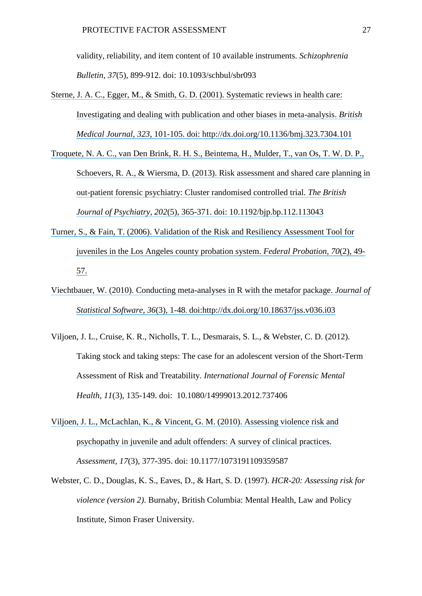validity, reliability, and item content of 10 available instruments. *Schizophrenia Bulletin, 37*(5), 899-912. doi: 10.1093/schbul/sbr093

- Sterne, J. A. C., Egger, M., & Smith, [G. D. \(2001\). Systematic reviews in health care:](https://www.researchgate.net/publication/237132111_Systematic_Reviews_in_Health_Care_Investigating_and_Dealing_with_Publication_and_Other_Biases_in_Meta-analysis?el=1_x_8&enrichId=rgreq-e3bf4a3a280c3cf01465ec7ad877da70-XXX&enrichSource=Y292ZXJQYWdlOzMwMzMwNjQ0MTtBUzozNjMwMTg2MjcxMDg4NjVAMTQ2MzU2MTc5MzU1Nw==) [Investigating and dealing with publication and other biases in meta-analysis.](https://www.researchgate.net/publication/237132111_Systematic_Reviews_in_Health_Care_Investigating_and_Dealing_with_Publication_and_Other_Biases_in_Meta-analysis?el=1_x_8&enrichId=rgreq-e3bf4a3a280c3cf01465ec7ad877da70-XXX&enrichSource=Y292ZXJQYWdlOzMwMzMwNjQ0MTtBUzozNjMwMTg2MjcxMDg4NjVAMTQ2MzU2MTc5MzU1Nw==) *British Medical Journal, 323*[, 101-105. doi: http://dx.doi.org/10.1136/bmj.323.7304.101](https://www.researchgate.net/publication/237132111_Systematic_Reviews_in_Health_Care_Investigating_and_Dealing_with_Publication_and_Other_Biases_in_Meta-analysis?el=1_x_8&enrichId=rgreq-e3bf4a3a280c3cf01465ec7ad877da70-XXX&enrichSource=Y292ZXJQYWdlOzMwMzMwNjQ0MTtBUzozNjMwMTg2MjcxMDg4NjVAMTQ2MzU2MTc5MzU1Nw==)
- [Troquete, N. A. C., van Den Brink, R. H. S., Beintema, H., Mulder, T., van Os, T. W. D. P.,](https://www.researchgate.net/publication/236072137_Risk_assessment_and_shared_care_planning_in_out-patient_forensic_psychiatry_Cluster_randomised_controlled_trial?el=1_x_8&enrichId=rgreq-e3bf4a3a280c3cf01465ec7ad877da70-XXX&enrichSource=Y292ZXJQYWdlOzMwMzMwNjQ0MTtBUzozNjMwMTg2MjcxMDg4NjVAMTQ2MzU2MTc5MzU1Nw==)  [Schoevers, R. A., & Wiersma, D. \(2013\). Risk assessment and shared care planning in](https://www.researchgate.net/publication/236072137_Risk_assessment_and_shared_care_planning_in_out-patient_forensic_psychiatry_Cluster_randomised_controlled_trial?el=1_x_8&enrichId=rgreq-e3bf4a3a280c3cf01465ec7ad877da70-XXX&enrichSource=Y292ZXJQYWdlOzMwMzMwNjQ0MTtBUzozNjMwMTg2MjcxMDg4NjVAMTQ2MzU2MTc5MzU1Nw==) [out-patient forensic psychiatry: Cluster randomised controlled trial.](https://www.researchgate.net/publication/236072137_Risk_assessment_and_shared_care_planning_in_out-patient_forensic_psychiatry_Cluster_randomised_controlled_trial?el=1_x_8&enrichId=rgreq-e3bf4a3a280c3cf01465ec7ad877da70-XXX&enrichSource=Y292ZXJQYWdlOzMwMzMwNjQ0MTtBUzozNjMwMTg2MjcxMDg4NjVAMTQ2MzU2MTc5MzU1Nw==) *The British Journal of Psychiatry, 202*[\(5\), 365-371. doi: 10.1192/bjp.bp.112.113043](https://www.researchgate.net/publication/236072137_Risk_assessment_and_shared_care_planning_in_out-patient_forensic_psychiatry_Cluster_randomised_controlled_trial?el=1_x_8&enrichId=rgreq-e3bf4a3a280c3cf01465ec7ad877da70-XXX&enrichSource=Y292ZXJQYWdlOzMwMzMwNjQ0MTtBUzozNjMwMTg2MjcxMDg4NjVAMTQ2MzU2MTc5MzU1Nw==)
- [Turner, S., & Fain, T. \(2006\). Validation of the Risk and Resiliency Assessment Tool for](https://www.researchgate.net/publication/298291216_Validation_of_the_risk_and_resiliency_assessment_tool_for_juveniles_in_the_Los_Angeles_County_probation_system?el=1_x_8&enrichId=rgreq-e3bf4a3a280c3cf01465ec7ad877da70-XXX&enrichSource=Y292ZXJQYWdlOzMwMzMwNjQ0MTtBUzozNjMwMTg2MjcxMDg4NjVAMTQ2MzU2MTc5MzU1Nw==)  [juveniles in the Los Angeles county probation system.](https://www.researchgate.net/publication/298291216_Validation_of_the_risk_and_resiliency_assessment_tool_for_juveniles_in_the_Los_Angeles_County_probation_system?el=1_x_8&enrichId=rgreq-e3bf4a3a280c3cf01465ec7ad877da70-XXX&enrichSource=Y292ZXJQYWdlOzMwMzMwNjQ0MTtBUzozNjMwMTg2MjcxMDg4NjVAMTQ2MzU2MTc5MzU1Nw==) *Federal Probation, 70*(2), 49- [57.](https://www.researchgate.net/publication/298291216_Validation_of_the_risk_and_resiliency_assessment_tool_for_juveniles_in_the_Los_Angeles_County_probation_system?el=1_x_8&enrichId=rgreq-e3bf4a3a280c3cf01465ec7ad877da70-XXX&enrichSource=Y292ZXJQYWdlOzMwMzMwNjQ0MTtBUzozNjMwMTg2MjcxMDg4NjVAMTQ2MzU2MTc5MzU1Nw==)
- [Viechtbauer, W. \(2010\). Conducting meta-analyses in R with the metafor package.](https://www.researchgate.net/publication/47457479_Conducting_Meta-Analyses_in_R_with_the_metafor_Package?el=1_x_8&enrichId=rgreq-e3bf4a3a280c3cf01465ec7ad877da70-XXX&enrichSource=Y292ZXJQYWdlOzMwMzMwNjQ0MTtBUzozNjMwMTg2MjcxMDg4NjVAMTQ2MzU2MTc5MzU1Nw==) *Journal of Statistical Software, 36*(3), 1-48. [doi:http://dx.doi.org/10.18637/jss.v036.i03](https://www.researchgate.net/publication/47457479_Conducting_Meta-Analyses_in_R_with_the_metafor_Package?el=1_x_8&enrichId=rgreq-e3bf4a3a280c3cf01465ec7ad877da70-XXX&enrichSource=Y292ZXJQYWdlOzMwMzMwNjQ0MTtBUzozNjMwMTg2MjcxMDg4NjVAMTQ2MzU2MTc5MzU1Nw==)
- Viljoen, J. L., Cruise, K. R., Nicholls, T. L., Desmarais, S. L., & Webster, C. D. (2012). Taking stock and taking steps: The case for an adolescent version of the Short-Term Assessment of Risk and Treatability. *International Journal of Forensic Mental Health, 11*(3), 135-149. doi: 10.1080/14999013.2012.737406
- Viljoen, J. L., McLachlan, K., [& Vincent, G. M. \(2010\). Assessing violence risk and](https://www.researchgate.net/publication/41399516_Assessing_Violence_Risk_and_Psychopathy_in_Juvenile_and_Adult_Offenders_A_Survey_of_Clinical_Practices?el=1_x_8&enrichId=rgreq-e3bf4a3a280c3cf01465ec7ad877da70-XXX&enrichSource=Y292ZXJQYWdlOzMwMzMwNjQ0MTtBUzozNjMwMTg2MjcxMDg4NjVAMTQ2MzU2MTc5MzU1Nw==)  [psychopathy in juvenile and adult offenders: A survey of clinical practices.](https://www.researchgate.net/publication/41399516_Assessing_Violence_Risk_and_Psychopathy_in_Juvenile_and_Adult_Offenders_A_Survey_of_Clinical_Practices?el=1_x_8&enrichId=rgreq-e3bf4a3a280c3cf01465ec7ad877da70-XXX&enrichSource=Y292ZXJQYWdlOzMwMzMwNjQ0MTtBUzozNjMwMTg2MjcxMDg4NjVAMTQ2MzU2MTc5MzU1Nw==) *Assessment, 17*(3), 377-395. doi: 10.1177/1073191109359587
- Webster, C. D., Douglas, K. S., Eaves, D., & Hart, S. D. (1997). *HCR-20: Assessing risk for violence (version 2)*. Burnaby, British Columbia: Mental Health, Law and Policy Institute, Simon Fraser University.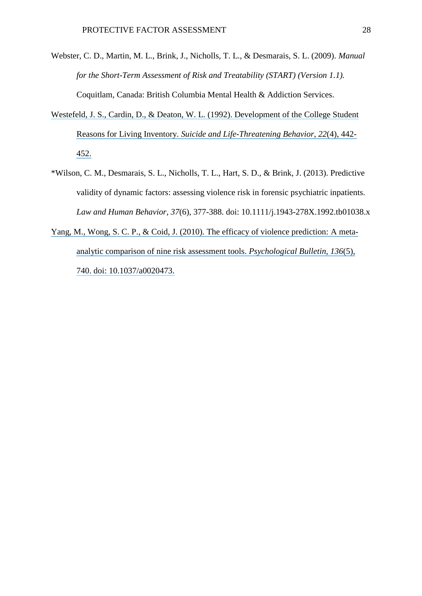- Webster, C. D., Martin, M. L., Brink, J., Nicholls, T. L., & Desmarais, S. L. (2009). *Manual for the Short-Term Assessment of Risk and Treatability (START) (Version 1.1).*  Coquitlam, Canada: British Columbia Mental Health & Addiction Services.
- [Westefeld, J. S., Cardin, D., & Deaton, W. L. \(1992\). Development of the College Student](https://www.researchgate.net/publication/21666511_Development_of_the_College_Student_Reasons_for_Living_Inventory?el=1_x_8&enrichId=rgreq-e3bf4a3a280c3cf01465ec7ad877da70-XXX&enrichSource=Y292ZXJQYWdlOzMwMzMwNjQ0MTtBUzozNjMwMTg2MjcxMDg4NjVAMTQ2MzU2MTc5MzU1Nw==) Reasons for Living Inventory. *[Suicide and Life-Threatening Behavior, 22](https://www.researchgate.net/publication/21666511_Development_of_the_College_Student_Reasons_for_Living_Inventory?el=1_x_8&enrichId=rgreq-e3bf4a3a280c3cf01465ec7ad877da70-XXX&enrichSource=Y292ZXJQYWdlOzMwMzMwNjQ0MTtBUzozNjMwMTg2MjcxMDg4NjVAMTQ2MzU2MTc5MzU1Nw==)*(4), 442- [452.](https://www.researchgate.net/publication/21666511_Development_of_the_College_Student_Reasons_for_Living_Inventory?el=1_x_8&enrichId=rgreq-e3bf4a3a280c3cf01465ec7ad877da70-XXX&enrichSource=Y292ZXJQYWdlOzMwMzMwNjQ0MTtBUzozNjMwMTg2MjcxMDg4NjVAMTQ2MzU2MTc5MzU1Nw==)
- \*Wilson, C. M., Desmarais, S. L., Nicholls, T. L., Hart, S. D., & Brink, J. (2013). Predictive validity of dynamic factors: assessing violence risk in forensic psychiatric inpatients. *Law and Human Behavior, 37*(6), 377-388. doi: 10.1111/j.1943-278X.1992.tb01038.x
- [Yang, M., Wong, S. C. P., & Coid, J. \(2010\). The efficacy of violence prediction: A](https://www.researchgate.net/publication/46094266_The_Efficacy_of_Violence_Prediction_A_Meta-Analytic_Comparison_of_Nine_Risk_Assessment_Tools?el=1_x_8&enrichId=rgreq-e3bf4a3a280c3cf01465ec7ad877da70-XXX&enrichSource=Y292ZXJQYWdlOzMwMzMwNjQ0MTtBUzozNjMwMTg2MjcxMDg4NjVAMTQ2MzU2MTc5MzU1Nw==) meta[analytic comparison of nine risk assessment tools.](https://www.researchgate.net/publication/46094266_The_Efficacy_of_Violence_Prediction_A_Meta-Analytic_Comparison_of_Nine_Risk_Assessment_Tools?el=1_x_8&enrichId=rgreq-e3bf4a3a280c3cf01465ec7ad877da70-XXX&enrichSource=Y292ZXJQYWdlOzMwMzMwNjQ0MTtBUzozNjMwMTg2MjcxMDg4NjVAMTQ2MzU2MTc5MzU1Nw==) *Psychological Bulletin, 136*(5), [740. doi: 10.1037/a0020473.](https://www.researchgate.net/publication/46094266_The_Efficacy_of_Violence_Prediction_A_Meta-Analytic_Comparison_of_Nine_Risk_Assessment_Tools?el=1_x_8&enrichId=rgreq-e3bf4a3a280c3cf01465ec7ad877da70-XXX&enrichSource=Y292ZXJQYWdlOzMwMzMwNjQ0MTtBUzozNjMwMTg2MjcxMDg4NjVAMTQ2MzU2MTc5MzU1Nw==)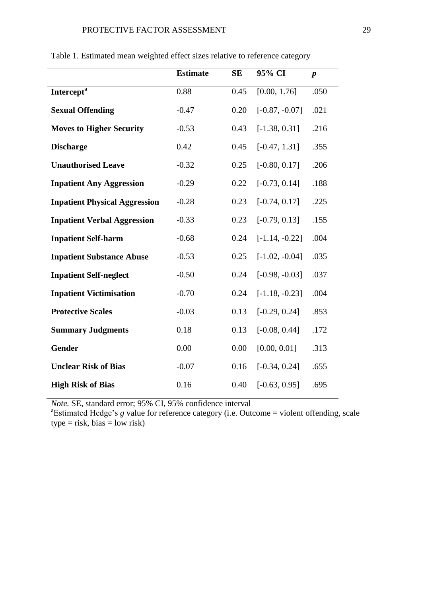|                                      | <b>Estimate</b> | <b>SE</b> | 95% CI           | $\boldsymbol{p}$ |
|--------------------------------------|-----------------|-----------|------------------|------------------|
| Intercept <sup>a</sup>               | 0.88            | 0.45      | [0.00, 1.76]     | .050             |
| <b>Sexual Offending</b>              | $-0.47$         | 0.20      | $[-0.87, -0.07]$ | .021             |
| <b>Moves to Higher Security</b>      | $-0.53$         | 0.43      | $[-1.38, 0.31]$  | .216             |
| <b>Discharge</b>                     | 0.42            | 0.45      | $[-0.47, 1.31]$  | .355             |
| <b>Unauthorised Leave</b>            | $-0.32$         | 0.25      | $[-0.80, 0.17]$  | .206             |
| <b>Inpatient Any Aggression</b>      | $-0.29$         | 0.22      | $[-0.73, 0.14]$  | .188             |
| <b>Inpatient Physical Aggression</b> | $-0.28$         | 0.23      | $[-0.74, 0.17]$  | .225             |
| <b>Inpatient Verbal Aggression</b>   | $-0.33$         | 0.23      | $[-0.79, 0.13]$  | .155             |
| <b>Inpatient Self-harm</b>           | $-0.68$         | 0.24      | $[-1.14, -0.22]$ | .004             |
| <b>Inpatient Substance Abuse</b>     | $-0.53$         | 0.25      | $[-1.02, -0.04]$ | .035             |
| <b>Inpatient Self-neglect</b>        | $-0.50$         | 0.24      | $[-0.98, -0.03]$ | .037             |
| <b>Inpatient Victimisation</b>       | $-0.70$         | 0.24      | $[-1.18, -0.23]$ | .004             |
| <b>Protective Scales</b>             | $-0.03$         | 0.13      | $[-0.29, 0.24]$  | .853             |
| <b>Summary Judgments</b>             | 0.18            | 0.13      | $[-0.08, 0.44]$  | .172             |
| <b>Gender</b>                        | 0.00            | 0.00      | [0.00, 0.01]     | .313             |
| <b>Unclear Risk of Bias</b>          | $-0.07$         | 0.16      | $[-0.34, 0.24]$  | .655             |
| <b>High Risk of Bias</b>             | 0.16            | 0.40      | $[-0.63, 0.95]$  | .695             |

Table 1. Estimated mean weighted effect sizes relative to reference category

*Note.* SE, standard error; 95% CI, 95% confidence interval

<sup>a</sup>Estimated Hedge's *g* value for reference category (i.e. Outcome = violent offending, scale  $type = risk, bias = low risk$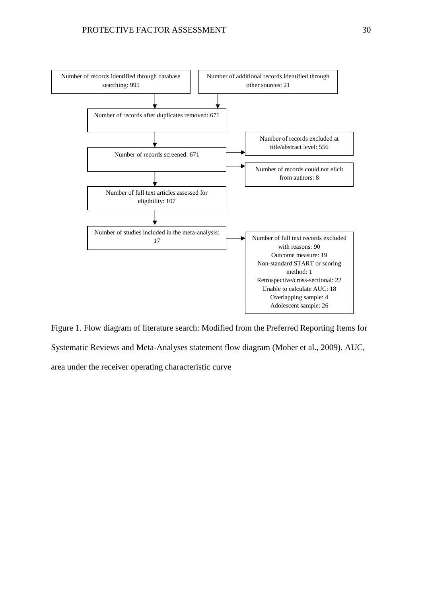

Figure 1. Flow diagram of literature search: Modified from the Preferred Reporting Items for Systematic Reviews and Meta-Analyses statement flow diagram (Moher et al., 2009). AUC, area under the receiver operating characteristic curve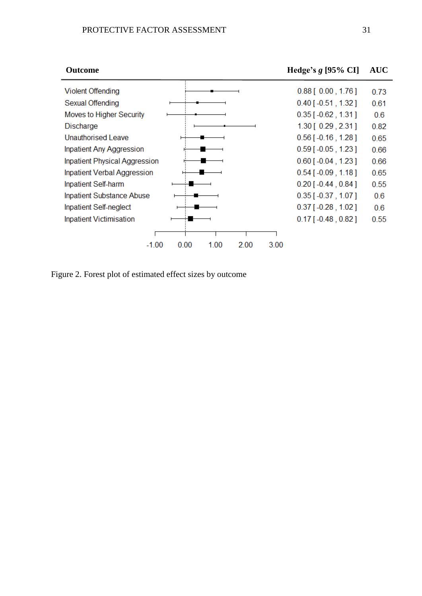**Outcome Hedge's** *g* **[95% CI] AUC**



Figure 2. Forest plot of estimated effect sizes by outcome